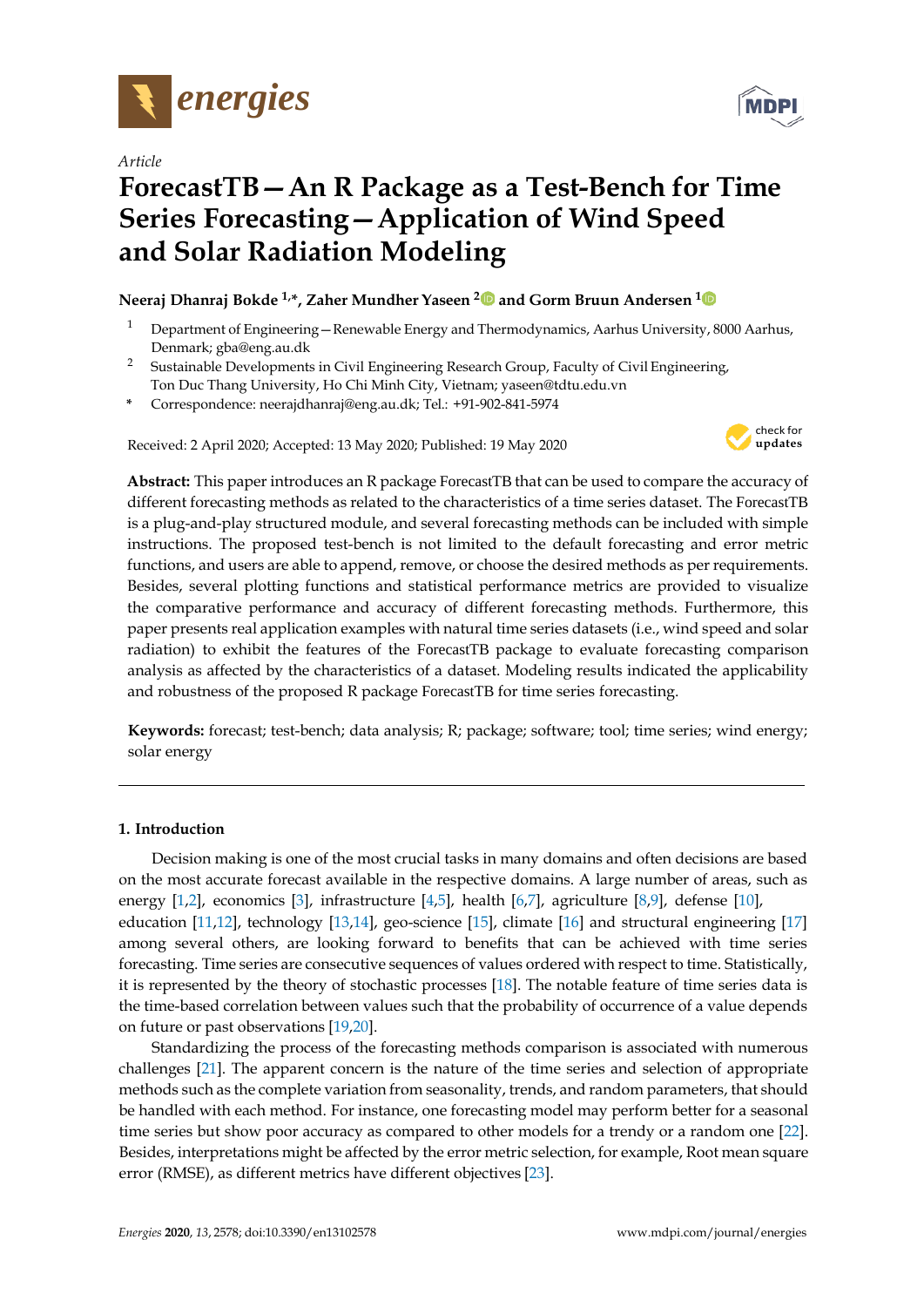

*Article*

# **ForecastTB—An R Package as a Test-Bench for Time Series Forecasting—Application of Wind Speed and Solar Radiation Modeling**

# **Neeraj Dhanraj Bokde 1,\*, Zaher Mundher Yaseen <sup>2</sup> and Gorm Bruun Andersen <sup>1</sup>**

- <sup>1</sup> Department of Engineering Renewable Energy and Thermodynamics, Aarhus University, 8000 Aarhus, Denmark; [gba@eng.au.dk](mailto:gba@eng.au.dk)
- <sup>2</sup> Sustainable Developments in Civil Engineering Research Group, Faculty of Civil Engineering, Ton Duc Thang University, Ho Chi Minh City, Vietnam; [yaseen@tdtu.edu.vn](mailto:yaseen@tdtu.edu.vn)
- **\*** Correspondence: neerajdhanraj@eng.au.dk; Tel.: +91-902-841-5974

Received: 2 April 2020; Accepted: 13 May 2020; Published: 19 May 2020



**Abstract:** This paper introduces an R package ForecastTB that can be used to compare the accuracy of different forecasting methods as related to the characteristics of a time series dataset. The ForecastTB is a plug-and-play structured module, and several forecasting methods can be included with simple instructions. The proposed test-bench is not limited to the default forecasting and error metric functions, and users are able to append, remove, or choose the desired methods as per requirements. Besides, several plotting functions and statistical performance metrics are provided to visualize the comparative performance and accuracy of different forecasting methods. Furthermore, this paper presents real application examples with natural time series datasets (i.e., wind speed and solar radiation) to exhibit the features of the ForecastTB package to evaluate forecasting comparison analysis as affected by the characteristics of a dataset. Modeling results indicated the applicability and robustness of the proposed R package ForecastTB for time series forecasting.

**Keywords:** forecast; test-bench; data analysis; R; package; software; tool; time series; wind energy; solar energy

# **1. Introduction**

Decision making is one of the most crucial tasks in many domains and often decisions are based on the most accurate forecast available in the respective domains. A large number of areas, such as energy [\[1](#page-21-0)[,2\]](#page-21-1), economics [\[3\]](#page-21-2), infrastructure [\[4](#page-21-3)[,5\]](#page-21-4), health [\[6,](#page-21-5)[7\]](#page-21-6), agriculture [\[8](#page-21-7)[,9\]](#page-21-8), defense [\[10\]](#page-21-9), education [\[11,](#page-21-10)[12\]](#page-22-0), technology [\[13](#page-22-1)[,14\]](#page-22-2), geo-science [\[15\]](#page-22-3), climate [\[16\]](#page-22-4) and structural engineering [\[17\]](#page-22-5) among several others, are looking forward to benefits that can be achieved with time series forecasting. Time series are consecutive sequences of values ordered with respect to time. Statistically, it is represented by the theory of stochastic processes [\[18\]](#page-22-6). The notable feature of time series data is the time-based correlation between values such that the probability of occurrence of a value depends on future or past observations [\[19](#page-22-7)[,20\]](#page-22-8).

Standardizing the process of the forecasting methods comparison is associated with numerous challenges [\[21\]](#page-22-9). The apparent concern is the nature of the time series and selection of appropriate methods such as the complete variation from seasonality, trends, and random parameters, that should be handled with each method. For instance, one forecasting model may perform better for a seasonal time series but show poor accuracy as compared to other models for a trendy or a random one [\[22\]](#page-22-10). Besides, interpretations might be affected by the error metric selection, for example, Root mean square error (RMSE), as different metrics have different objectives [\[23\]](#page-22-11).

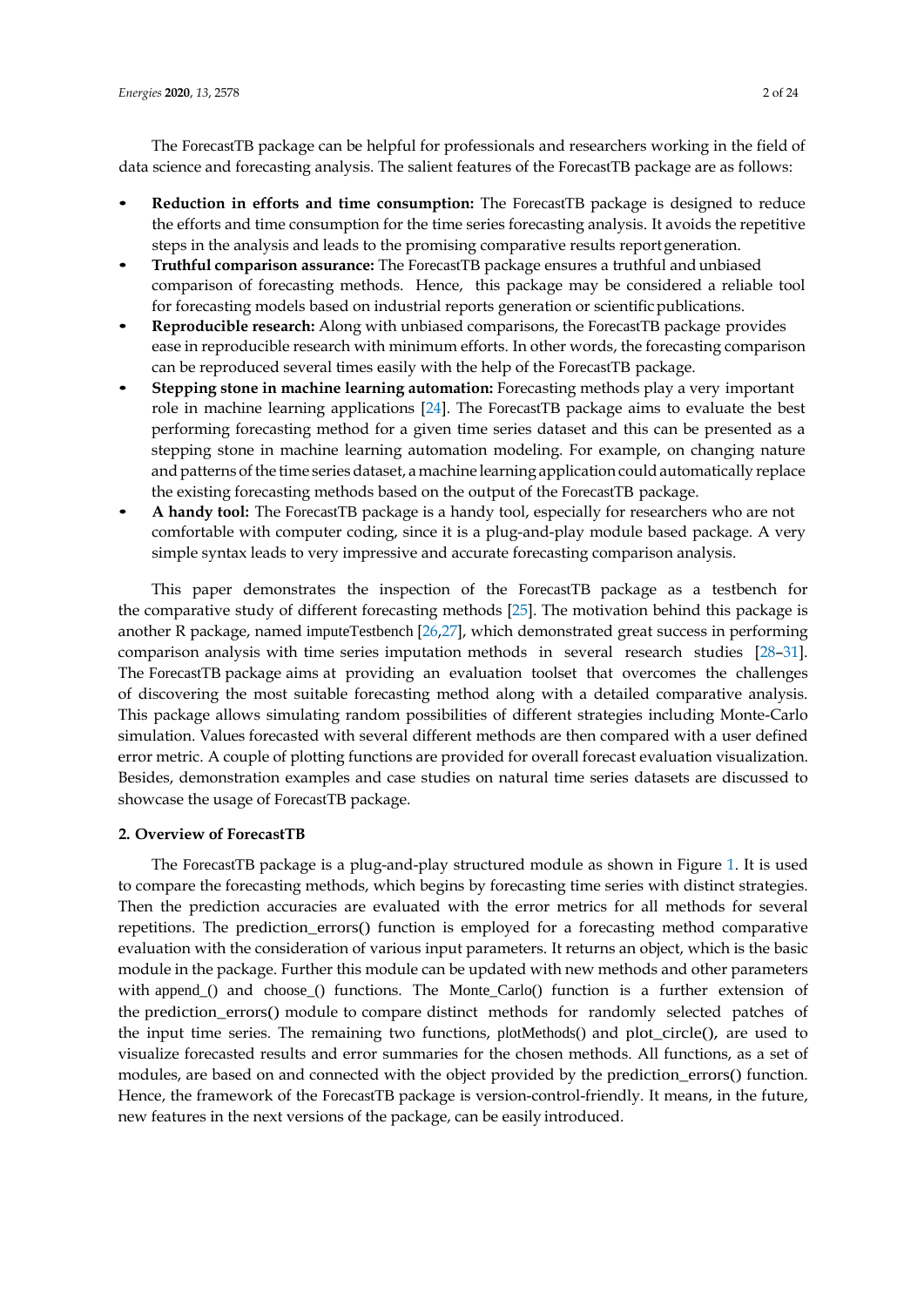The ForecastTB package can be helpful for professionals and researchers working in the field of data science and forecasting analysis. The salient features of the ForecastTB package are as follows:

- *•* **Reduction in efforts and time consumption:** The ForecastTB package is designed to reduce the efforts and time consumption for the time series forecasting analysis. It avoids the repetitive steps in the analysis and leads to the promising comparative results reportgeneration.
- *•* **Truthful comparison assurance:** The ForecastTB package ensures a truthful and unbiased comparison of forecasting methods. Hence, this package may be considered a reliable tool for forecasting models based on industrial reports generation or scientific publications.
- *•* **Reproducible research:** Along with unbiased comparisons, the ForecastTB package provides ease in reproducible research with minimum efforts. In other words, the forecasting comparison can be reproduced several times easily with the help of the ForecastTB package.
- *•* **Stepping stone in machine learning automation:** Forecasting methods play a very important role in machine learning applications [\[24\]](#page-22-12). The ForecastTB package aims to evaluate the best performing forecasting method for a given time series dataset and this can be presented as a stepping stone in machine learning automation modeling. For example, on changing nature and patterns of the time series dataset, a machine learning application could automatically replace the existing forecasting methods based on the output of the ForecastTB package.
- *•* **A handy tool:** The ForecastTB package is a handy tool, especially for researchers who are not comfortable with computer coding, since it is a plug-and-play module based package. A very simple syntax leads to very impressive and accurate forecasting comparison analysis.

This paper demonstrates the inspection of the ForecastTB package as a testbench for the comparative study of different forecasting methods [\[25\]](#page-22-13). The motivation behind this package is another R package, named imputeTestbench [\[26,](#page-22-14)[27\]](#page-22-15), which demonstrated great success in performing comparison analysis with time series imputation methods in several research studies [\[28–](#page-22-16)[31\]](#page-22-17). The ForecastTB package aims at providing an evaluation toolset that overcomes the challenges of discovering the most suitable forecasting method along with a detailed comparative analysis. This package allows simulating random possibilities of different strategies including Monte-Carlo simulation. Values forecasted with several different methods are then compared with a user defined error metric. A couple of plotting functions are provided for overall forecast evaluation visualization. Besides, demonstration examples and case studies on natural time series datasets are discussed to showcase the usage of ForecastTB package.

#### **2. Overview of ForecastTB**

The ForecastTB package is a plug-and-play structured module as shown in Figure [1.](#page-2-0) It is used to compare the forecasting methods, which begins by forecasting time series with distinct strategies. Then the prediction accuracies are evaluated with the error metrics for all methods for several repetitions. The prediction\_errors() function is employed for a forecasting method comparative evaluation with the consideration of various input parameters. It returns an object, which is the basic module in the package. Further this module can be updated with new methods and other parameters with append\_() and choose\_() functions. The Monte\_Carlo() function is a further extension of the prediction\_errors() module to compare distinct methods for randomly selected patches of the input time series. The remaining two functions, plotMethods() and plot\_circle(), are used to visualize forecasted results and error summaries for the chosen methods. All functions, as a set of modules, are based on and connected with the object provided by the prediction\_errors() function. Hence, the framework of the ForecastTB package is version-control-friendly. It means, in the future, new features in the next versions of the package, can be easily introduced.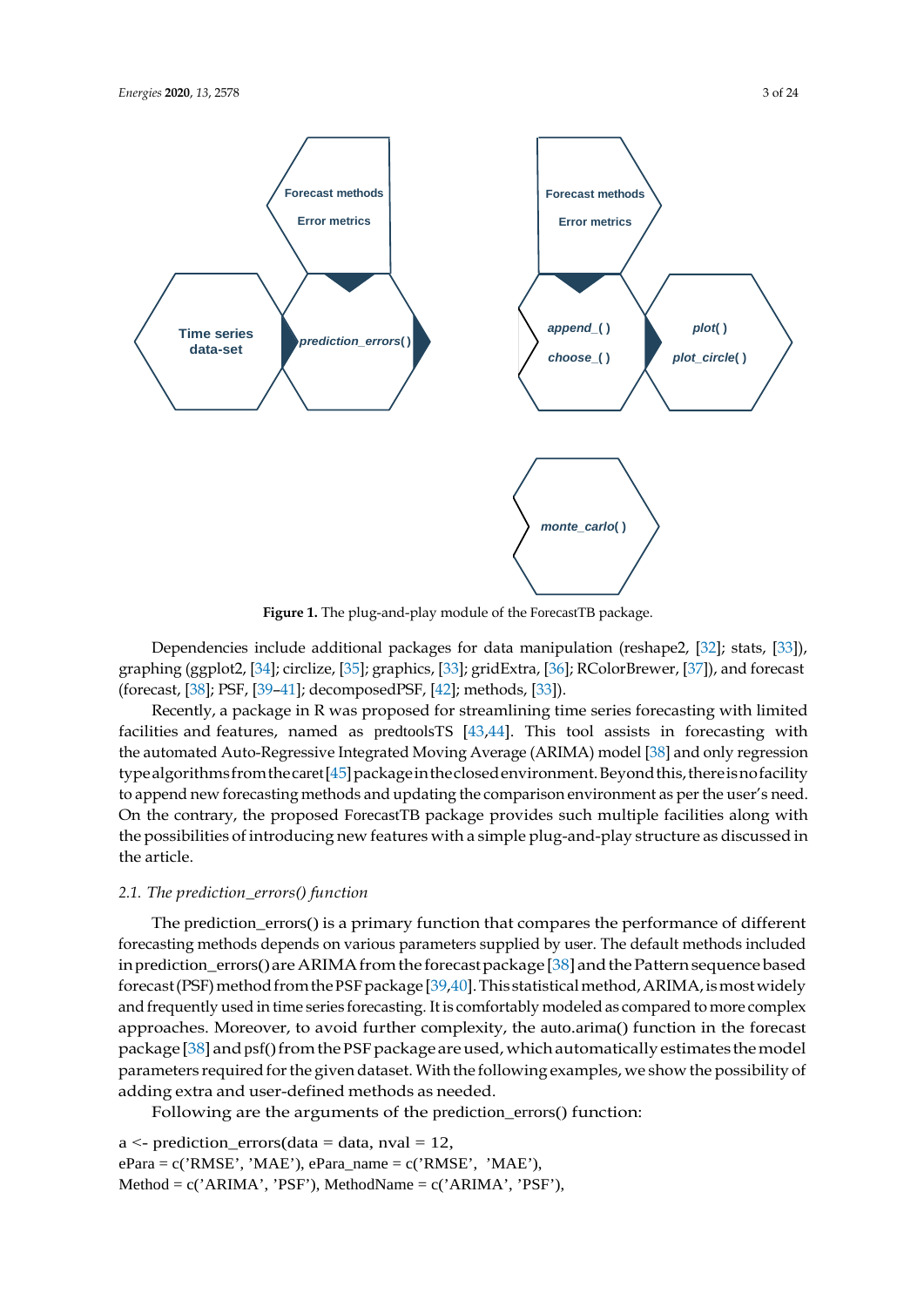<span id="page-2-0"></span>

**Figure 1.** The plug-and-play module of the ForecastTB package.

Dependencies include additional packages for data manipulation (reshape2, [\[32\]](#page-22-18); stats, [\[33\]](#page-22-19)), graphing (ggplot2, [\[34\]](#page-22-20); circlize, [\[35\]](#page-22-21); graphics, [\[33\]](#page-22-19); gridExtra, [\[36\]](#page-23-0); RColorBrewer, [\[37\]](#page-23-1)), and forecast (forecast, [\[38\]](#page-23-2); PSF, [\[39–](#page-23-3)[41\]](#page-23-4); decomposedPSF, [\[42\]](#page-23-5); methods, [\[33\]](#page-22-19)).

Recently, a package in R was proposed for streamlining time series forecasting with limited facilities and features, named as predtoolsTS [\[43](#page-23-6)[,44\]](#page-23-7). This tool assists in forecasting with the automated Auto-Regressive Integrated Moving Average (ARIMA) model [\[38\]](#page-23-2) and only regression typealgorithms from the caret [\[45\]](#page-23-8) package in the closed environment. Beyond this, there is no facility to append new forecasting methods and updating the comparison environment as perthe user's need. On the contrary, the proposed ForecastTB package provides such multiple facilities along with the possibilities of introducing new features with a simple plug-and-play structure as discussed in the article.

## *2.1. The prediction\_errors() function*

The prediction\_errors() is a primary function that compares the performance of different forecasting methods depends on various parameters supplied by user. The default methods included in prediction\_errors() are ARIMA from the forecast package [\[38\]](#page-23-2) and the Pattern sequence based forecast (PSF) method from the PSF package [\[39](#page-23-3)[,40\]](#page-23-9). This statistical method, ARIMA, is most widely and frequently used in time series forecasting. It is comfortably modeled as compared to more complex approaches. Moreover, to avoid further complexity, the auto.arima() function in the forecast package [\[38\]](#page-23-2) and psf() from the PSF package are used, which automatically estimates the model parameters required for the given dataset. With the following examples, we show the possibility of adding extra and user-defined methods as needed.

Following are the arguments of the prediction\_errors() function:

 $a \le$ - prediction\_errors(data = data, nval = 12,  $ePara = c('RMSE', 'MAE'), ePara_name = c('RMSE', 'MAE'),$ Method =  $c('ARIMA', 'PSF'), MethodName = c('ARIMA', 'PSF'),$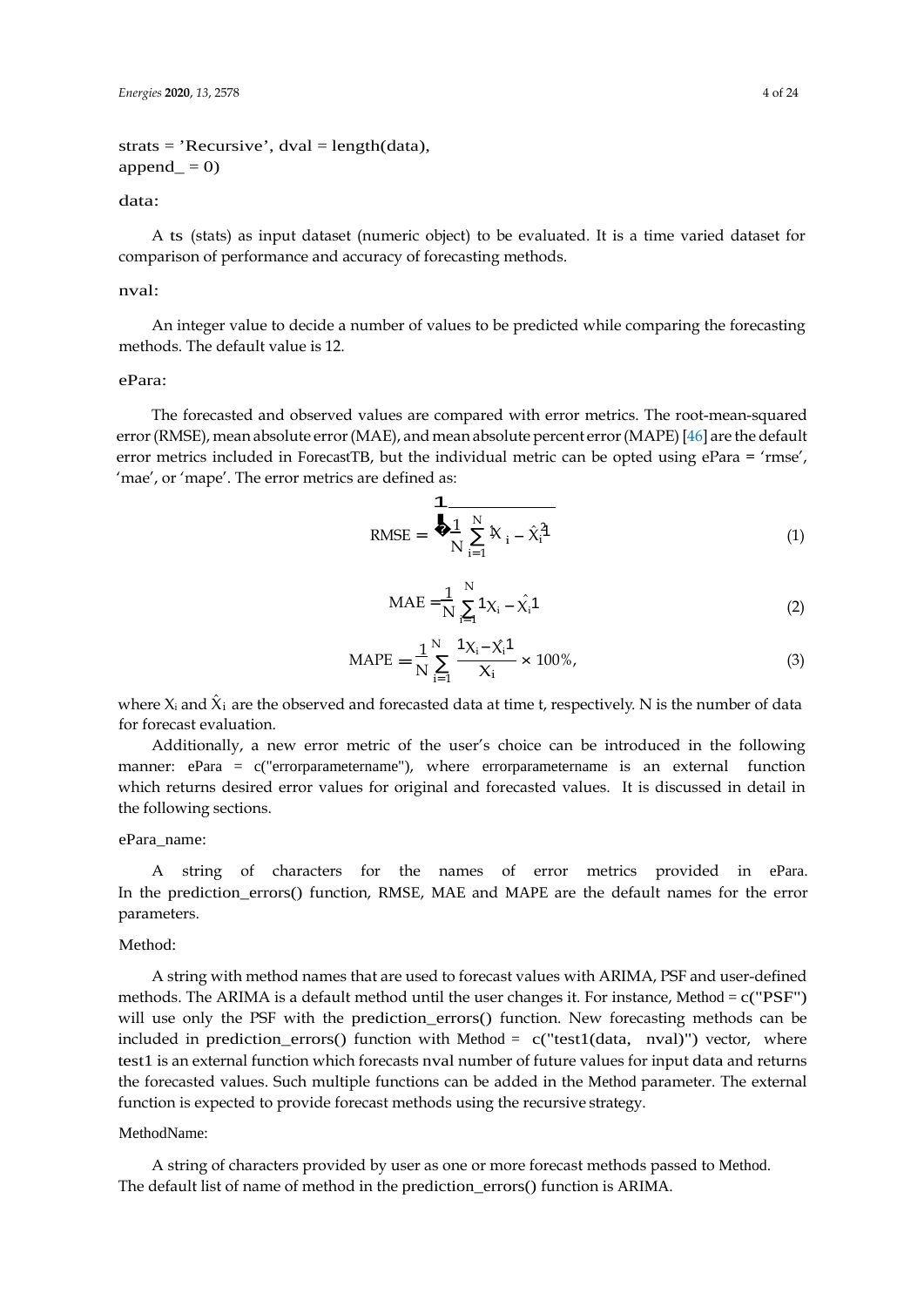$strats = 'Recursive', dval = length(data),$  $append_ = 0$ 

### data:

A ts (stats) as input dataset (numeric object) to be evaluated. It is a time varied dataset for comparison of performance and accuracy of forecasting methods.

#### nval:

An integer value to decide a number of values to be predicted while comparing the forecasting methods. The default value is 12.

# ePara:

The forecasted and observed values are compared with error metrics. The root-mean-squared error(RMSE), mean absolute error(MAE), and mean absolute percent error(MAPE) [\[46\]](#page-23-10) are the default error metrics included in ForecastTB, but the individual metric can be opted using ePara = 'rmse', 'mae', or 'mape'. The error metrics are defined as:

RMSE = 
$$
\frac{1}{N} \sum_{i=1}^{N} x_i - \hat{x}_i^2
$$
 (1)

$$
MAE = \frac{1}{N} \sum_{i=1}^{N} 1 \chi_i - \hat{\chi_i} 1
$$
 (2)

$$
MAPE = \frac{1}{N} \sum_{i=1}^{N} \frac{1 \chi_i - \chi_i \mathbf{1}}{\chi_i} \times 100\%,
$$
\n(3)

where  $X_i$  and  $\hat{X}_i$  are the observed and forecasted data at time t, respectively. N is the number of data for forecast evaluation.

Additionally, a new error metric of the user's choice can be introduced in the following manner: ePara = c("errorparametername"), where errorparametername is an external function which returns desired error values for original and forecasted values. It is discussed in detail in the following sections.

#### ePara\_name:

A string of characters for the names of error metrics provided in ePara. In the prediction\_errors() function, RMSE, MAE and MAPE are the default names for the error parameters.

#### Method:

A string with method names that are used to forecast values with ARIMA, PSF and user-defined methods. The ARIMA is a default method until the user changes it. For instance, Method =  $c("PSF")$ will use only the PSF with the prediction\_errors() function. New forecasting methods can be included in prediction\_errors() function with Method =  $c("test1(data, nval)"$  vector, where test1 is an external function which forecasts nval number of future values for input data and returns the forecasted values. Such multiple functions can be added in the Method parameter. The external function is expected to provide forecast methods using the recursive strategy.

## MethodName:

A string of characters provided by user as one or more forecast methods passed to Method. The default list of name of method in the prediction\_errors() function is ARIMA.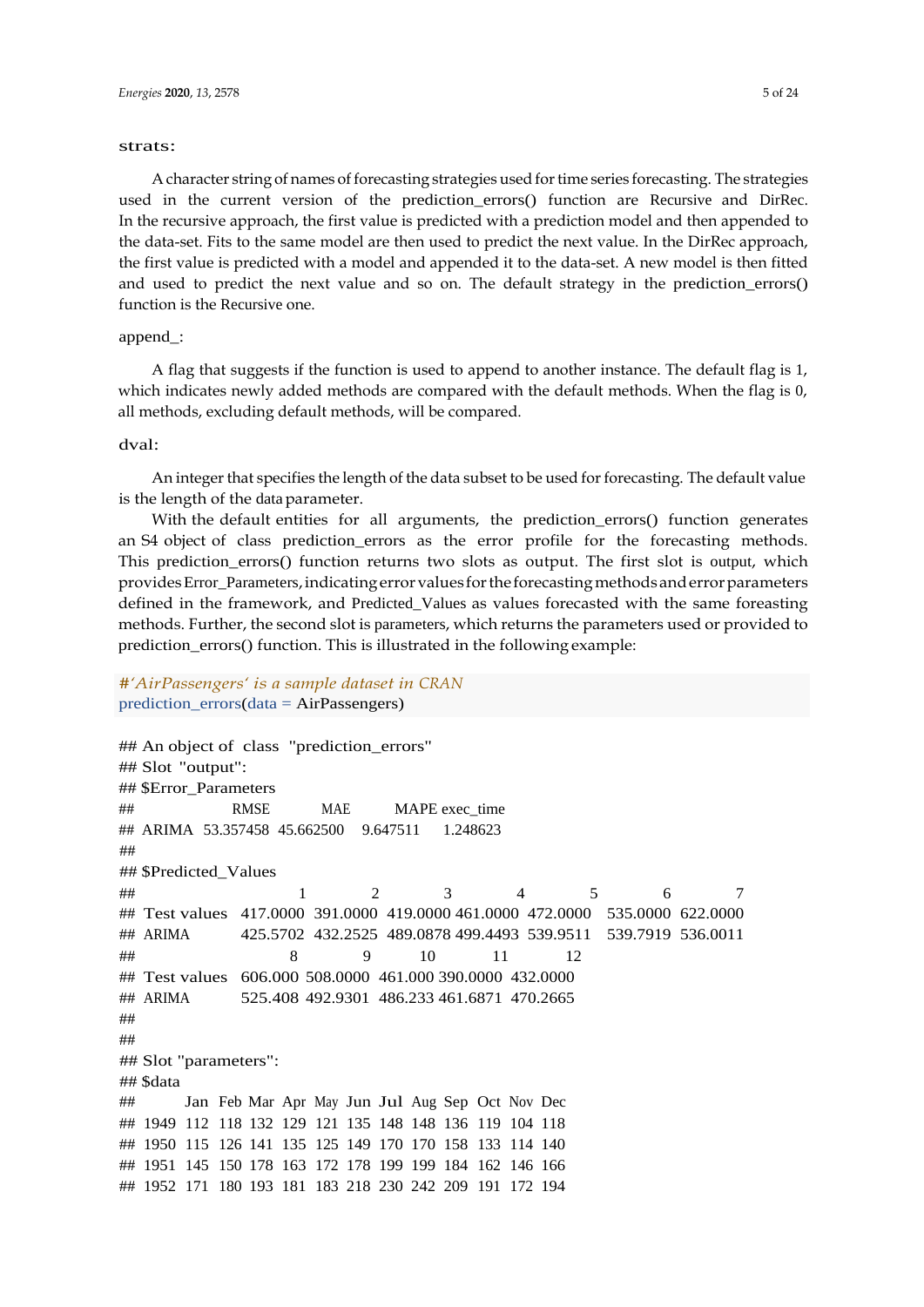#### strats:

A character string of names of forecasting strategies used for time series forecasting. The strategies used in the current version of the prediction\_errors() function are Recursive and DirRec. In the recursive approach, the first value is predicted with a prediction model and then appended to the data-set. Fits to the same model are then used to predict the next value. In the DirRec approach, the first value is predicted with a model and appended it to the data-set. A new model is then fitted and used to predict the next value and so on. The default strategy in the prediction\_errors() function is the Recursive one.

#### append\_:

A flag that suggests if the function is used to append to another instance. The default flag is 1, which indicates newly added methods are compared with the default methods. When the flag is 0, all methods, excluding default methods, will be compared.

#### dval:

An integer that specifies the length of the data subset to be used for forecasting. The default value is the length of the dataparameter.

With the default entities for all arguments, the prediction\_errors() function generates an S4 object of class prediction\_errors as the error profile for the forecasting methods. This prediction\_errors() function returns two slots as output. The first slot is output, which providesError\_Parameters,indicatingerrorvalues forthe forecastingmethodsanderrorparameters defined in the framework, and Predicted\_Values as values forecasted with the same foreasting methods. Further, the second slot is parameters, which returns the parameters used or provided to prediction\_errors() function. This is illustrated in the following example:

# *#'AirPassengers' is a sample dataset in CRAN* prediction\_errors(data = AirPassengers)

```
## An object of class "prediction_errors" 
## Slot "output":
## $Error_Parameters
## RMSE MAE MAPE exec_time 
## ARIMA 53.357458 45.662500 9.647511 1.248623
##
## $Predicted_Values
## 1 2 3 4 5 6 7
## Test values 417.0000 391.0000 419.0000 461.0000 472.0000 535.0000 622.0000
## ARIMA 425.5702 432.2525 489.0878 499.4493 539.9511 539.7919 536.0011
## 8 9 10 11 12
## Test values 606.000 508.0000 461.000 390.0000 432.0000
## ARIMA 525.408 492.9301 486.233 461.6871 470.2665
##
##
## Slot "parameters":
## $data
## Jan Feb Mar Apr May Jun Jul Aug Sep Oct Nov Dec
## 1949 112 118 132 129 121 135 148 148 136 119 104 118
## 1950 115 126 141 135 125 149 170 170 158 133 114 140
## 1951 145 150 178 163 172 178 199 199 184 162 146 166
## 1952 171 180 193 181 183 218 230 242 209 191 172 194
```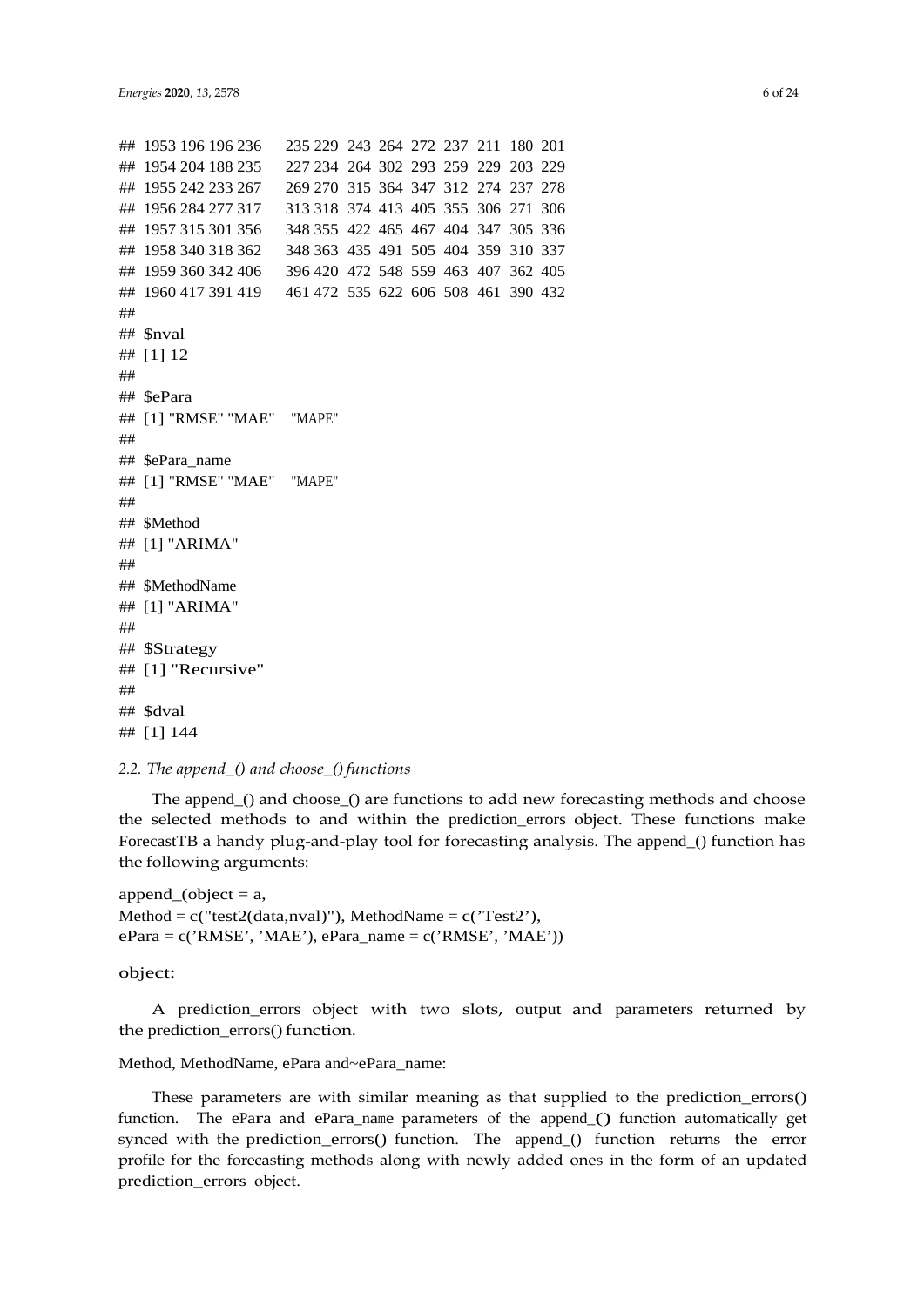```
## 1953 196 196 236 235 229 243 264 272 237 211 180 201
## 1954 204 188 235 227 234 264 302 293 259 229 203 229
## 1955 242 233 267 269 270 315 364 347 312 274 237 278
## 1956 284 277 317 313 318 374 413 405 355 306 271 306
## 1957 315 301 356 348 355 422 465 467 404 347 305 336
## 1958 340 318 362 348 363 435 491 505 404 359 310 337
## 1959 360 342 406 396 420 472 548 559 463 407 362 405
## 1960 417 391 419 461 472 535 622 606 508 461 390 432
##
## $nval
## [1] 12
##
## $ePara
## [1] "RMSE" "MAE" "MAPE"
##
## $ePara_name
## [1] "RMSE" "MAE" "MAPE"
##
## $Method
## [1] "ARIMA"
##
## $MethodName
## [1] "ARIMA"
##
## $Strategy
## [1] "Recursive"
##
## $dval
## [1] 144
```
#### *2.2. The append\_() and choose\_()functions*

The append\_() and choose\_() are functions to add new forecasting methods and choose the selected methods to and within the prediction\_errors object. These functions make ForecastTB a handy plug-and-play tool for forecasting analysis. The append\_() function has the following arguments:

append (object  $= a$ , Method =  $c("test2(data, nval)",$  MethodName =  $c("Test2"),$  $ePara = c('RMSE', 'MAE'), ePara<sub>n</sub>ame = c('RMSE', 'MAE'))$ 

### object:

A prediction\_errors object with two slots, output and parameters returned by the prediction\_errors() function.

# Method, MethodName, ePara and~ePara\_name:

These parameters are with similar meaning as that supplied to the prediction\_errors() function. The ePara and ePara name parameters of the append () function automatically get synced with the prediction\_errors() function. The append\_() function returns the error profile for the forecasting methods along with newly added ones in the form of an updated prediction\_errors object.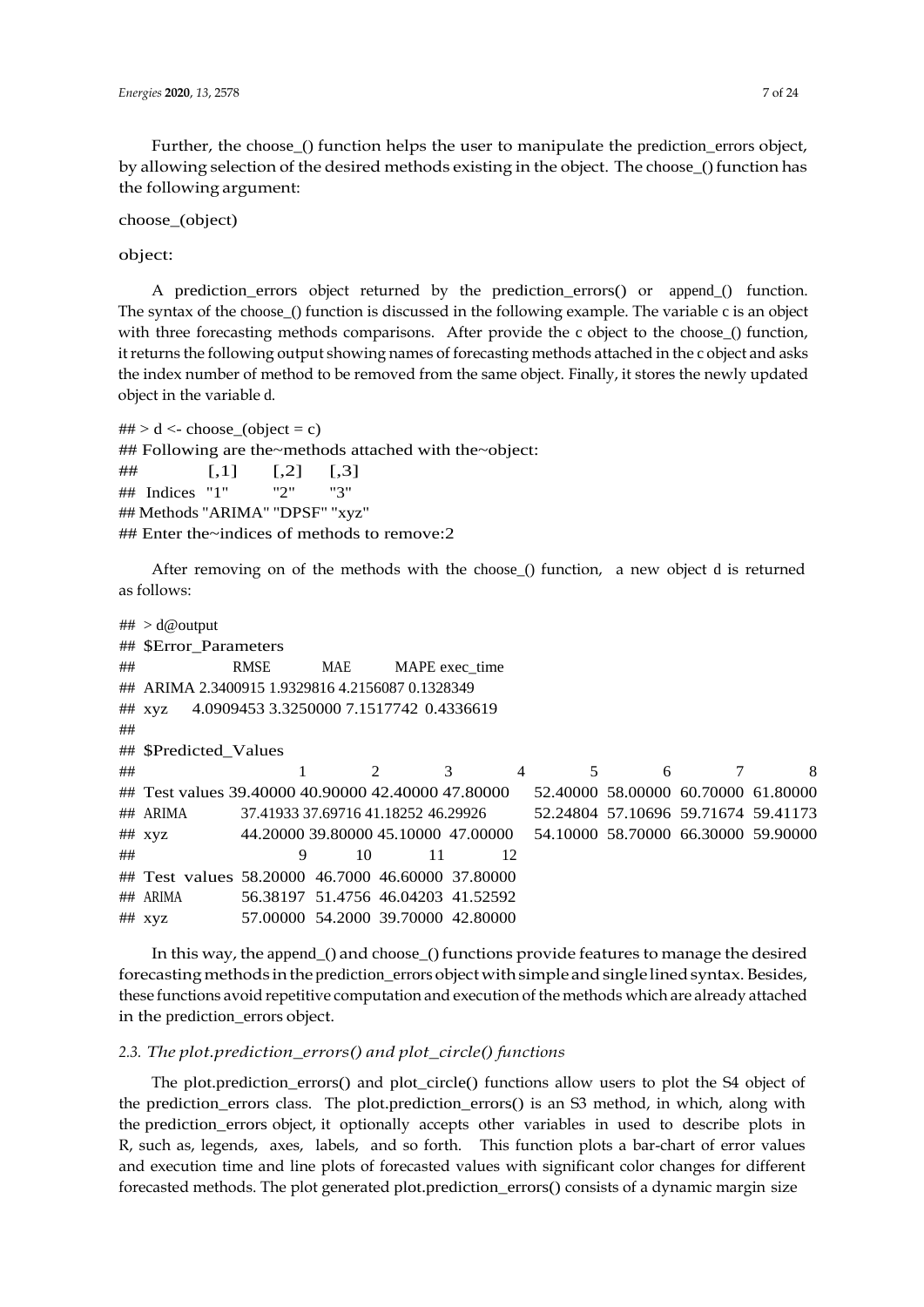Further, the choose\_() function helps the user to manipulate the prediction\_errors object, by allowing selection of the desired methods existing in the object. The choose\_() function has the following argument:

choose\_(object)

object:

A prediction\_errors object returned by the prediction\_errors() or append\_() function. The syntax of the choose\_() function is discussed in the following example. The variable c is an object with three forecasting methods comparisons. After provide the c object to the choose<sub>()</sub> function, it returns the following output showing names of forecasting methods attached in the c object and asks the index number of method to be removed from the same object. Finally, it stores the newly updated object in the variable d.

 $\#H > d < \text{choose\_(object = c)}$ ## Following are the~methods attached with the~object:  $\#$  [,1] [,2] [,3] ## Indices "1" "2" "3" ## Methods "ARIMA" "DPSF" "xyz" ## Enter the~indices of methods to remove:2

After removing on of the methods with the choose\_() function, a new object d is returned as follows:

```
##
> d@output
##
$Error_Parameters
## RMSE MAE MAPE exec_time
## ARIMA 2.3400915 1.9329816 4.2156087 0.1328349
## xyz 4.0909453 3.3250000 7.1517742 0.4336619
##
## $Predicted_Values
## 1 2 3 4 5 6 7 8
## Test values 39.40000 40.90000 42.40000 47.80000 52.40000 58.00000 60.70000 61.80000
## ARIMA 37.41933 37.69716 41.18252 46.29926 52.24804 57.10696 59.71674 59.41173
## xyz 44.20000 39.80000 45.10000 47.00000 54.10000 58.70000 66.30000 59.90000
## 9 10 11 12
## Test values 58.20000 46.7000 46.60000 37.80000
## ARIMA 56.38197 51.4756 46.04203 41.52592
## xyz 57.00000 54.2000 39.70000 42.80000
```
In this way, the append\_() and choose\_() functions provide features to manage the desired forecasting methods in the prediction\_errors object with simple and single lined syntax. Besides, these functions avoid repetitive computation and execution of the methods which are already attached in the prediction\_errors object.

#### *2.3. The plot.prediction\_errors() and plot\_circle() functions*

The plot.prediction\_errors() and plot\_circle() functions allow users to plot the S4 object of the prediction\_errors class. The plot.prediction\_errors() is an S3 method, in which, along with the prediction\_errors object, it optionally accepts other variables in used to describe plots in R, such as, legends, axes, labels, and so forth. This function plots a bar-chart of error values and execution time and line plots of forecasted values with significant color changes for different forecasted methods. The plot generated plot.prediction\_errors() consists of a dynamic margin size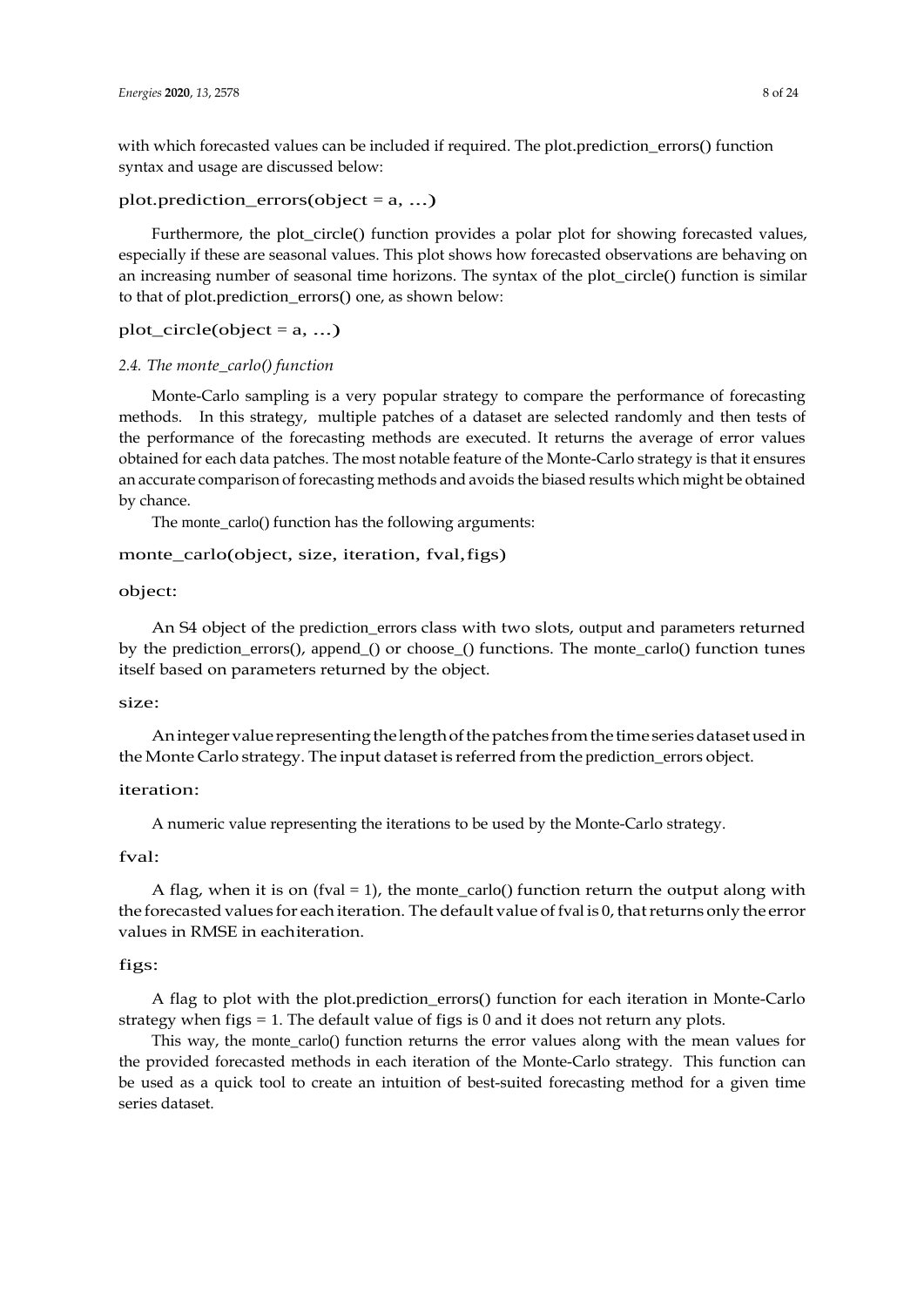with which forecasted values can be included if required. The plot.prediction\_errors() function syntax and usage are discussed below:

### plot.prediction errors(object =  $a, ...$ )

Furthermore, the plot circle() function provides a polar plot for showing forecasted values, especially if these are seasonal values. This plot shows how forecasted observations are behaving on an increasing number of seasonal time horizons. The syntax of the plot\_circle() function is similar to that of plot.prediction\_errors() one, as shown below:

# $plot\_circle(object = a, ...)$

## *2.4. The monte\_carlo() function*

Monte-Carlo sampling is a very popular strategy to compare the performance of forecasting methods. In this strategy, multiple patches of a dataset are selected randomly and then tests of the performance of the forecasting methods are executed. It returns the average of error values obtained for each data patches. The most notable feature of the Monte-Carlo strategy is that it ensures an accurate comparison of forecasting methods and avoids the biased results which might be obtained by chance.

The monte\_carlo() function has the following arguments:

## monte\_carlo(object, size, iteration, fval,figs)

## object:

An S4 object of the prediction\_errors class with two slots, output and parameters returned by the prediction\_errors(), append\_() or choose\_() functions. The monte\_carlo() function tunes itself based on parameters returned by the object.

### size:

An integer value representing the length of the patches from the time series dataset used in the Monte Carlo strategy. The input dataset is referred from the prediction\_errors object.

### iteration:

A numeric value representing the iterations to be used by the Monte-Carlo strategy.

#### fval:

A flag, when it is on (fval = 1), the monte\_carlo() function return the output along with the forecasted values for each iteration. The default value of fval is 0, that returns only the error values in RMSE in eachiteration.

#### figs:

A flag to plot with the plot.prediction\_errors() function for each iteration in Monte-Carlo strategy when figs  $= 1$ . The default value of figs is 0 and it does not return any plots.

This way, the monte\_carlo() function returns the error values along with the mean values for the provided forecasted methods in each iteration of the Monte-Carlo strategy. This function can be used as a quick tool to create an intuition of best-suited forecasting method for a given time series dataset.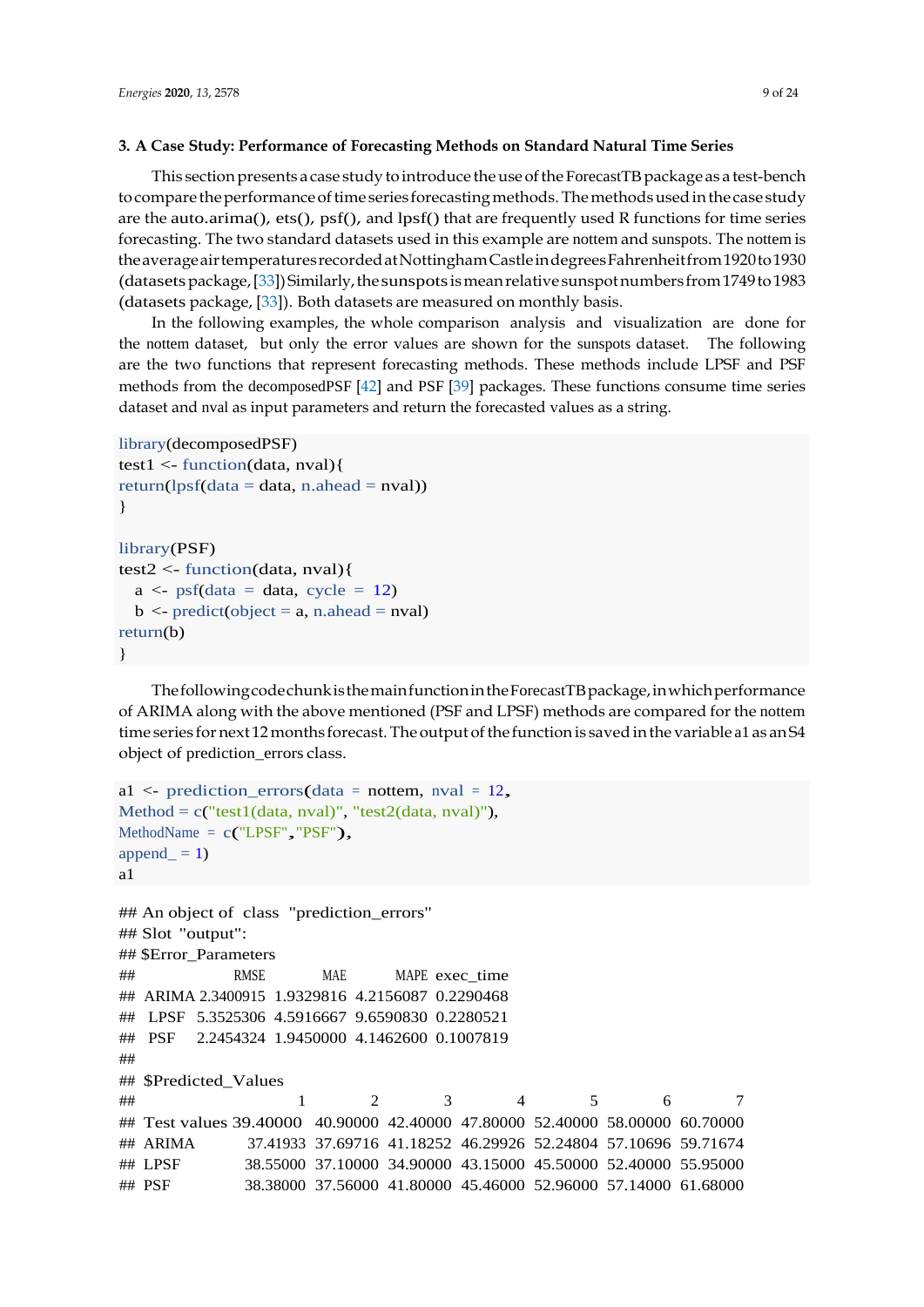#### **3. A Case Study: Performance of Forecasting Methods on Standard Natural Time Series**

This section presents a case study to introduce the use of the ForecastTB package as a test-bench to compare the performance of time series forecasting methods. The methods used in the case study are the auto.arima(), ets(), psf(), and lpsf() that are frequently used R functions for time series forecasting. The two standard datasets used in this example are nottem and sunspots. The nottem is theaverageairtemperaturesrecordedatNottinghamCastleindegreesFahrenheitfrom1920to1930 (datasetspackage,[\[33\]](#page-22-19))Similarly,thesunspotsismeanrelative sunspotnumbers from1749to1983 (datasets package, [\[33\]](#page-22-19)). Both datasets are measured on monthly basis.

In the following examples, the whole comparison analysis and visualization are done for the nottem dataset, but only the error values are shown for the sunspots dataset. The following are the two functions that represent forecasting methods. These methods include LPSF and PSF methods from the decomposedPSF [\[42\]](#page-23-5) and PSF [\[39\]](#page-23-3) packages. These functions consume time series dataset and nval as input parameters and return the forecasted values as a string.

```
library(decomposedPSF)
test1 <- function(data, nval){ 
return(1psf(data = data, n. ahead = nval))}
library(PSF)
test2 <- function(data, nval){
  a \leq p\text{sf(data} = \text{data}, \text{ cycle} = 12)b \le- predict(object = a, n.ahead = nval)
return(b)
}
```
ThefollowingcodechunkisthemainfunctionintheForecastTBpackage,inwhichperformance of ARIMA along with the above mentioned (PSF and LPSF) methods are compared for the nottem time series for next 12 months forecast. The output of the function is saved in the variable a1 as an S4 object of prediction\_errors class.

```
a1 \leq prediction_errors(data = nottem, nval = 12,
Method = c("test1(data, nval)", "test2(data, nval"),MethodName = c("LPSF", "PSF"),append = 1)
a1
## An object of class "prediction_errors" 
## Slot "output":
## $Error_Parameters
## RMSE MAE MAPE exec time
## ARIMA 2.3400915 1.9329816 4.2156087 0.2290468
## LPSF 5.3525306 4.5916667 9.6590830 0.2280521
## PSF 2.2454324 1.9450000 4.1462600 0.1007819
##
## $Predicted Values
## 1 2 3 4 5 6 7
## Test values 39.40000 40.90000 42.40000 47.80000 52.40000 58.00000 60.70000
## ARIMA 37.41933 37.69716 41.18252 46.29926 52.24804 57.10696 59.71674
## LPSF 38.55000 37.10000 34.90000 43.15000 45.50000 52.40000 55.95000
## PSF 38.38000 37.56000 41.80000 45.46000 52.96000 57.14000 61.68000
```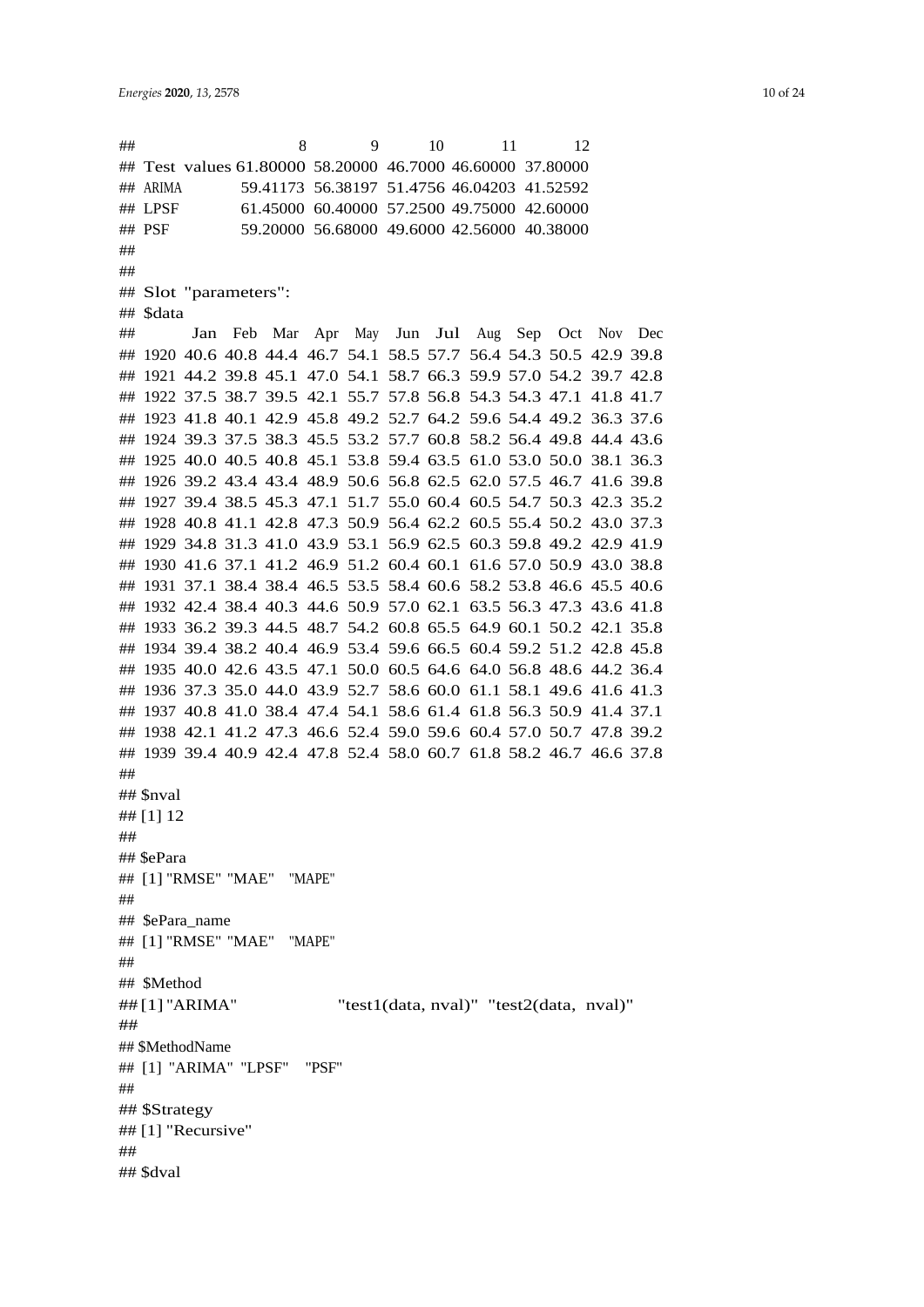## 8 9 10 11 12 ## Test values 61.80000 58.20000 46.7000 46.60000 37.80000 ## ARIMA 59.41173 56.38197 51.4756 46.04203 41.52592 ## LPSF 61.45000 60.40000 57.2500 49.75000 42.60000 ## PSF 59.20000 56.68000 49.6000 42.56000 40.38000 ## ## ## Slot "parameters": ## \$data ## Jan Feb Mar Apr May Jun Jul Aug Sep Oct Nov Dec ## 1920 40.6 40.8 44.4 46.7 54.1 58.5 57.7 56.4 54.3 50.5 42.9 39.8 ## 1921 44.2 39.8 45.1 47.0 54.1 58.7 66.3 59.9 57.0 54.2 39.7 42.8 ## 1922 37.5 38.7 39.5 42.1 55.7 57.8 56.8 54.3 54.3 47.1 41.8 41.7 ## 1923 41.8 40.1 42.9 45.8 49.2 52.7 64.2 59.6 54.4 49.2 36.3 37.6 ## 1924 39.3 37.5 38.3 45.5 53.2 57.7 60.8 58.2 56.4 49.8 44.4 43.6 ## 1925 40.0 40.5 40.8 45.1 53.8 59.4 63.5 61.0 53.0 50.0 38.1 36.3 ## 1926 39.2 43.4 43.4 48.9 50.6 56.8 62.5 62.0 57.5 46.7 41.6 39.8 ## 1927 39.4 38.5 45.3 47.1 51.7 55.0 60.4 60.5 54.7 50.3 42.3 35.2 ## 1928 40.8 41.1 42.8 47.3 50.9 56.4 62.2 60.5 55.4 50.2 43.0 37.3 ## 1929 34.8 31.3 41.0 43.9 53.1 56.9 62.5 60.3 59.8 49.2 42.9 41.9 ## 1930 41.6 37.1 41.2 46.9 51.2 60.4 60.1 61.6 57.0 50.9 43.0 38.8 ## 1931 37.1 38.4 38.4 46.5 53.5 58.4 60.6 58.2 53.8 46.6 45.5 40.6 ## 1932 42.4 38.4 40.3 44.6 50.9 57.0 62.1 63.5 56.3 47.3 43.6 41.8 ## 1933 36.2 39.3 44.5 48.7 54.2 60.8 65.5 64.9 60.1 50.2 42.1 35.8 ## 1934 39.4 38.2 40.4 46.9 53.4 59.6 66.5 60.4 59.2 51.2 42.8 45.8 ## 1935 40.0 42.6 43.5 47.1 50.0 60.5 64.6 64.0 56.8 48.6 44.2 36.4 ## 1936 37.3 35.0 44.0 43.9 52.7 58.6 60.0 61.1 58.1 49.6 41.6 41.3 ## 1937 40.8 41.0 38.4 47.4 54.1 58.6 61.4 61.8 56.3 50.9 41.4 37.1 ## 1938 42.1 41.2 47.3 46.6 52.4 59.0 59.6 60.4 57.0 50.7 47.8 39.2 ## 1939 39.4 40.9 42.4 47.8 52.4 58.0 60.7 61.8 58.2 46.7 46.6 37.8 ## ## \$nval ## [1] 12 ## ## \$ePara ## [1] "RMSE" "MAE" "MAPE" ## ## \$ePara\_name ## [1] "RMSE" "MAE" "MAPE" ## ## \$Method ## [1] "ARIMA" "test1(data, nval)" "test2(data, nval)" ## ## \$MethodName ## [1] "ARIMA" "LPSF" "PSF" ## ## \$Strategy ## [1] "Recursive" ## ## \$dval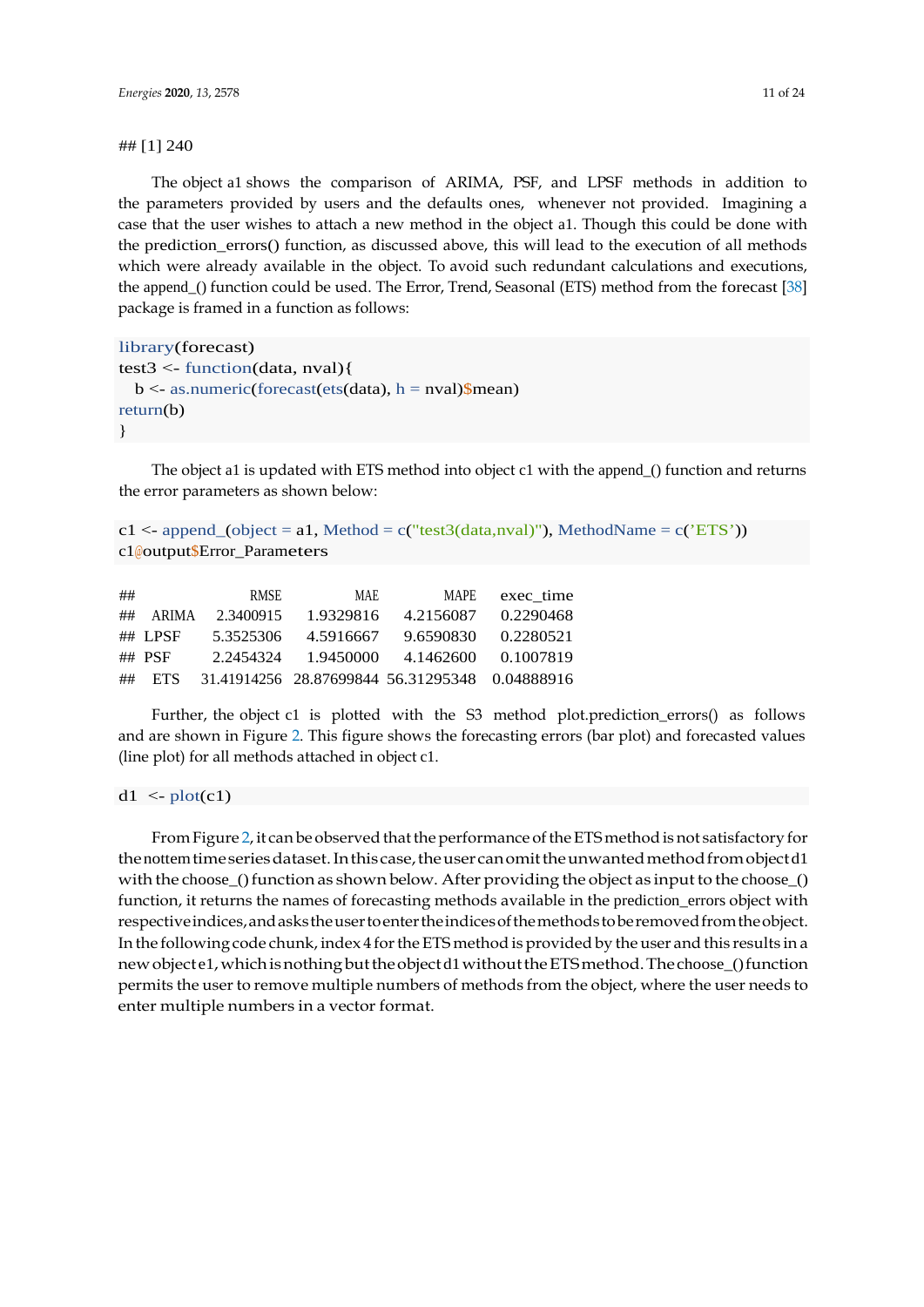#### ## [1] 240

The object a1 shows the comparison of ARIMA, PSF, and LPSF methods in addition to the parameters provided by users and the defaults ones, whenever not provided. Imagining a case that the user wishes to attach a new method in the object a1. Though this could be done with the prediction\_errors() function, as discussed above, this will lead to the execution of all methods which were already available in the object. To avoid such redundant calculations and executions, the append () function could be used. The Error, Trend, Seasonal (ETS) method from the forecast [\[38\]](#page-23-2) package is framed in a function as follows:

```
library(forecast)
test3 <- function(data, nval){
  b \leq -as.numeric(forecast(ets(data), h = nval)$mean)
return(b)
}
```
The object a1 is updated with ETS method into object c1 with the append\_() function and returns the error parameters as shown below:

```
c1 <- append_(object = a1, Method = c("test3(data,nval)"), MethodName = c('ETS'))
c1@output$Error_Parameters
```

| ## |          | <b>RMSE</b> | <b>MAE</b> | <b>MAPE</b>                                    | exec time |
|----|----------|-------------|------------|------------------------------------------------|-----------|
| ## | ARIMA    | 2.3400915   | 1.9329816  | 4.2156087                                      | 0.2290468 |
|    | ## LPSF  | 5.3525306   | 4.5916667  | 9.6590830                                      | 0.2280521 |
|    | ## $PSF$ | 2.2454324   | 1.9450000  | 4.1462600                                      | 0.1007819 |
| ## | - ETS    |             |            | 31.41914256 28.87699844 56.31295348 0.04888916 |           |

Further, the object c1 is plotted with the S3 method plot.prediction\_errors() as follows and are shown in Figure [2.](#page-11-0) This figure shows the forecasting errors (bar plot) and forecasted values (line plot) for all methods attached in object c1.

 $d1 \leq plot(c1)$ 

From Figure [2,](#page-11-0) it can be observed that the performance of the ETS method is not satisfactory for the nottem time series dataset. In this case, the user can omit the unwanted method from object d1 with the choose\_() function as shown below. After providing the object as input to the choose\_() function, it returns the names of forecasting methods available in the prediction\_errors object with respectiveindices,andaskstheusertoentertheindicesofthemethodstoberemovedfromtheobject. In the following code chunk, index 4 forthe ETS method is provided by the user and this results in a new object e1, which is nothing but the object d1 without the ETS method. The choose\_() function permits the user to remove multiple numbers of methods from the object, where the user needs to enter multiple numbers in a vector format.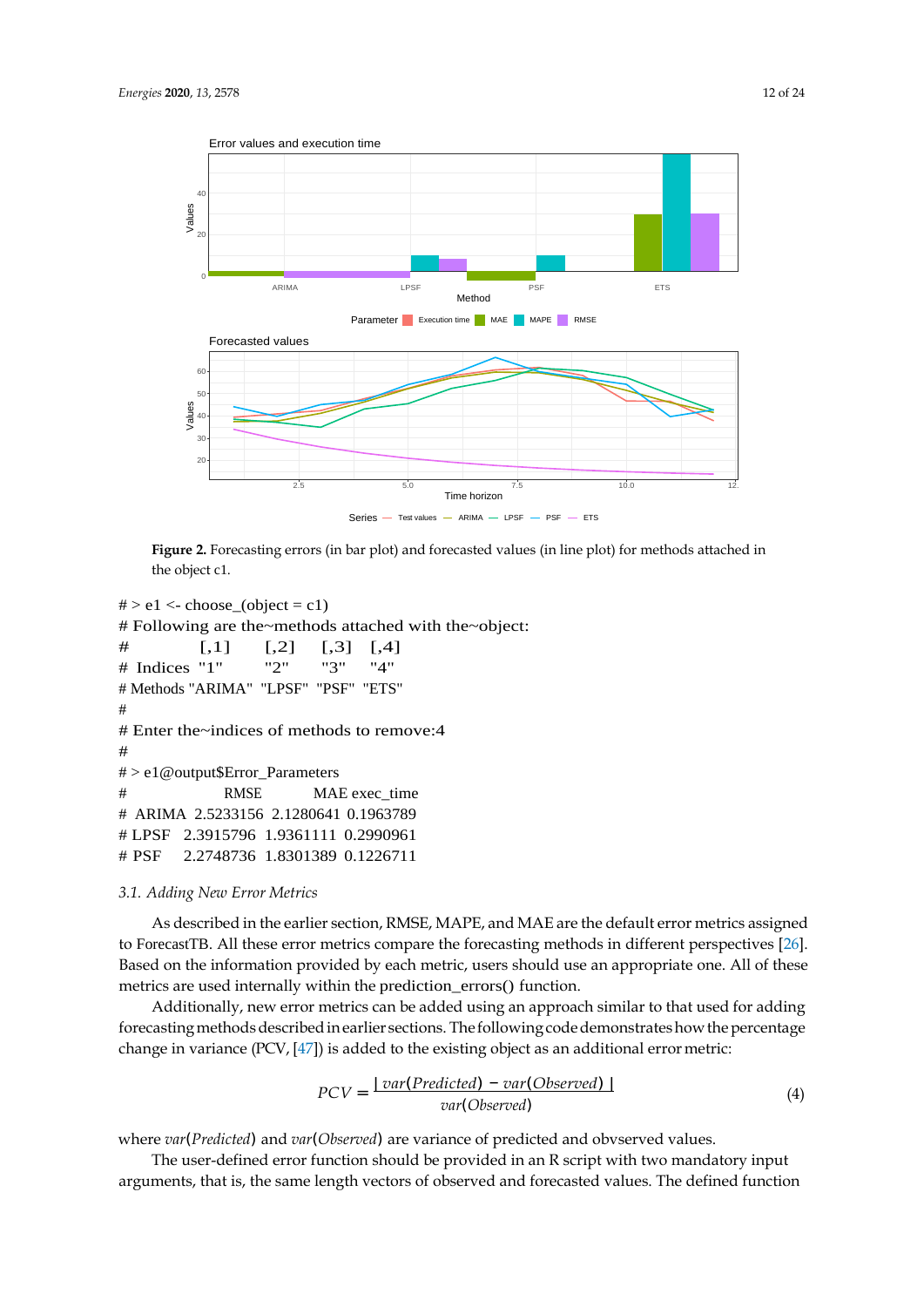<span id="page-11-0"></span>

**Figure 2.** Forecasting errors (in bar plot) and forecasted values (in line plot) for methods attached in the object c1.

```
# > e1 <- choose (object = c1)
# Following are the~methods attached with the~object:
\# [,1] [,2] [,3] [,4]
# Indices "1" "2" "3" "4"
# Methods "ARIMA" "LPSF" "PSF" "ETS" 
#
# Enter the~indices of methods to remove:4 
#
# > e1@output$Error_Parameters
# RMSE MAE exec_time 
# ARIMA 2.5233156 2.1280641 0.1963789
# LPSF 2.3915796 1.9361111 0.2990961
# PSF 2.2748736 1.8301389 0.1226711
```
#### *3.1. Adding New Error Metrics*

As described in the earlier section, RMSE, MAPE, and MAE are the default error metrics assigned to ForecastTB. All these error metrics compare the forecasting methods in different perspectives [\[26\]](#page-22-14). Based on the information provided by each metric, users should use an appropriate one. All of these metrics are used internally within the prediction\_errors() function.

Additionally, new error metrics can be added using an approach similar to that used for adding forecasting methods described in earlier sections. The following code demonstrates how the percentage change in variance  $(PCV, [47])$  $(PCV, [47])$  $(PCV, [47])$  is added to the existing object as an additional error metric:

$$
PCV = \frac{Var(Predicted) - var(Observed)}{var(Observed)}
$$
\n(4)

where *var*(*Predicted*) and *var*(*Observed*) are variance of predicted and obvserved values.

The user-defined error function should be provided in an R script with two mandatory input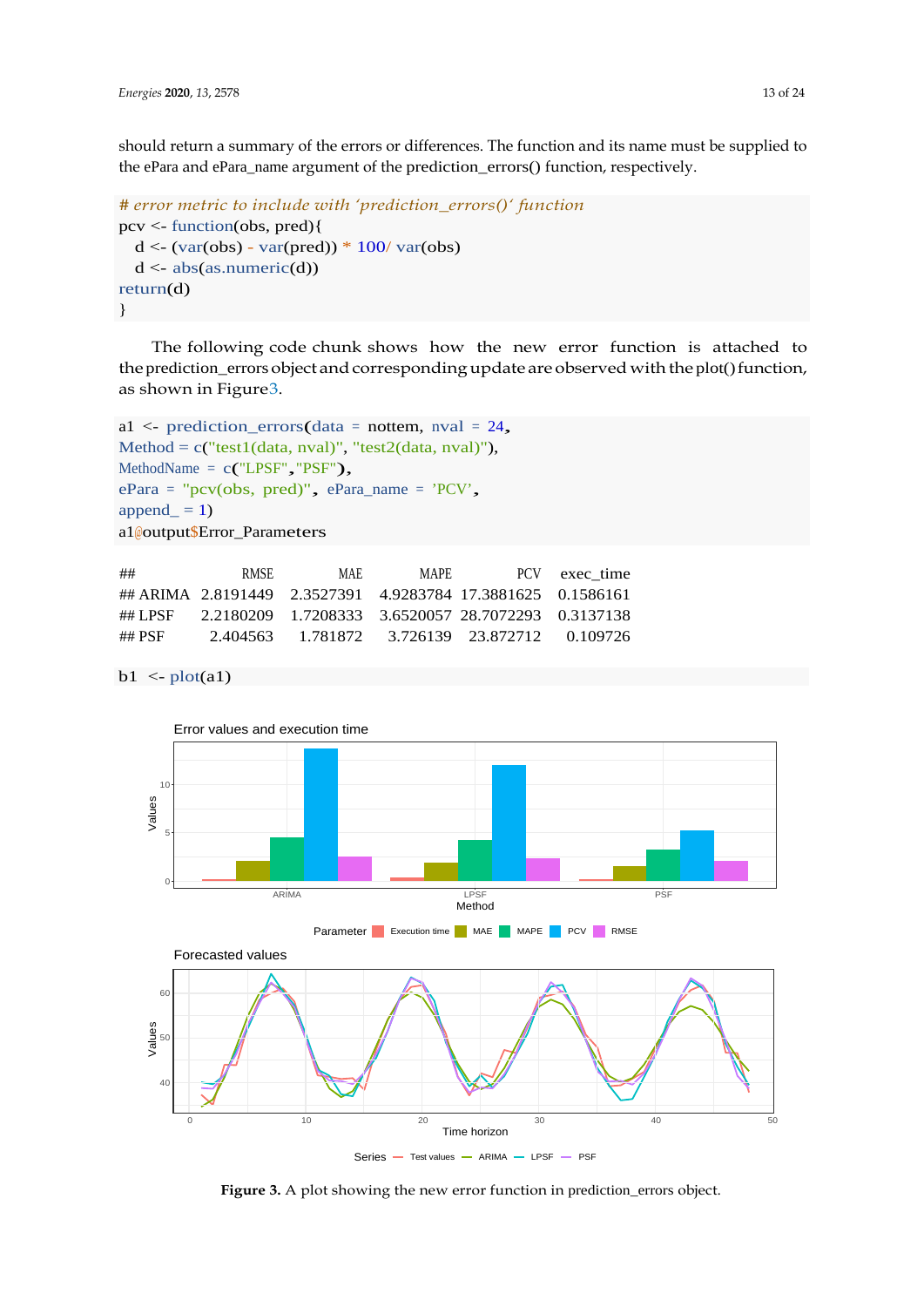should return a summary of the errors or differences. The function and its name must be supplied to the ePara and ePara\_name argument of the prediction\_errors() function, respectively.

```
# error metric to include with 'prediction_errors()' function
pcv <- function(obs, pred){
  d < (var(obs) - var(pred)) * 100 / var(obs)d \leq - abs(as.numeric(d))
return(d)
}
```
The following code chunk shows how the new error function is attached to the prediction\_errors object and corresponding update are observed with the plot() function, as shown in Figur[e3.](#page-12-0)

```
a1 <- prediction_errors(data = nottem, nval = 24,
Method = c("test1(data, nval)", "test2(data, nval"),MethodName = c("LPSF", "PSF"),
ePara = "pcv(obs, pred)", ePara_name = 'PCV', 
append_ = 1)a1@output$Error_Parameters
```

| ##      | <b>RMSE</b> | MAE. | <b>MAPE</b> |                                                             | PCV exec time |
|---------|-------------|------|-------------|-------------------------------------------------------------|---------------|
|         |             |      |             | ## ARIMA 2.8191449 2.3527391 4.9283784 17.3881625 0.1586161 |               |
| ## LPSF |             |      |             | 2.2180209 1.7208333 3.6520057 28.7072293 0.3137138          |               |
| ## PSF  |             |      |             | 2.404563 1.781872 3.726139 23.872712 0.109726               |               |

 $b1 \leq plot(a1)$ 

<span id="page-12-0"></span>

Figure 3. A plot showing the new error function in prediction\_errors object.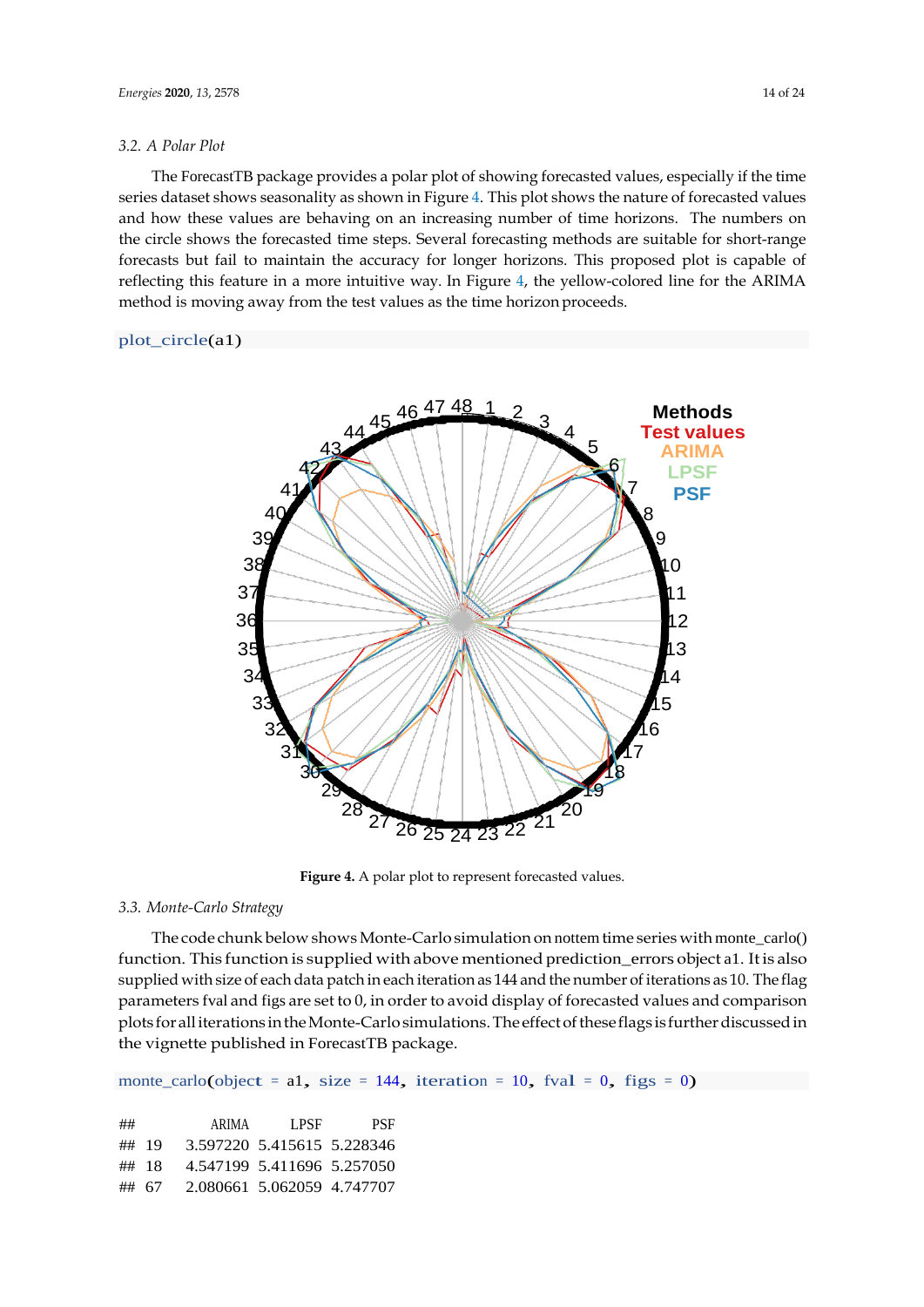The ForecastTB package provides a polar plot of showing forecasted values, especially if the time series dataset shows seasonality as shown in Figure [4.](#page-13-0) This plot shows the nature of forecasted values and how these values are behaving on an increasing number of time horizons. The numbers on the circle shows the forecasted time steps. Several forecasting methods are suitable for short-range forecasts but fail to maintain the accuracy for longer horizons. This proposed plot is capable of reflecting this feature in a more intuitive way. In Figure [4,](#page-13-0) the yellow-colored line for the ARIMA method is moving away from the test values as the time horizon proceeds.

#### plot circle(a1)

<span id="page-13-0"></span>

Figure 4. A polar plot to represent forecasted values.

# *3.3. Monte-Carlo Strategy*

The code chunk below shows Monte-Carlo simulation on nottem time series with monte\_carlo() function. This function is supplied with above mentioned prediction\_errors object a1. It is also supplied with size of each data patch in each iteration as 144 and the number of iterations as 10. The flag parameters fval and figs are set to 0, in order to avoid display of forecasted values and comparison plots foralliterations intheMonte-Carlosimulations.The effectoftheseflags is furtherdiscussedin the vignette published in ForecastTB package.

monte\_carlo(object = a1, size = 144, iteration = 10, fval = 0, figs = 0)

| ##    |       | ARIMA | LPSE                       | PSF |
|-------|-------|-------|----------------------------|-----|
| ## 19 |       |       | 3.597220 5.415615 5.228346 |     |
|       | ## 18 |       | 4.547199 5.411696 5.257050 |     |
|       | ## 67 |       | 2.080661 5.062059 4.747707 |     |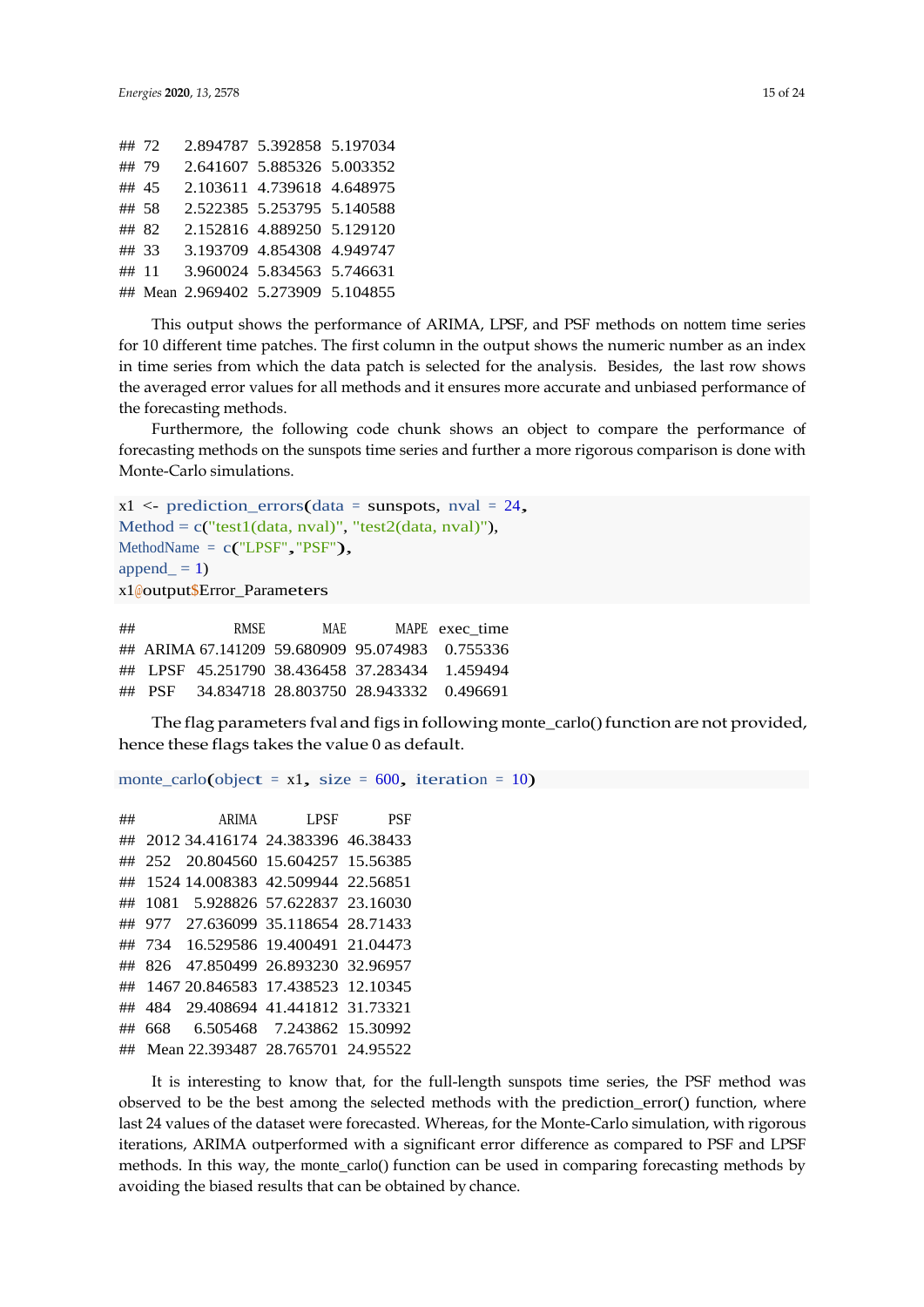| ## 72 |  | 2.894787 5.392858 5.197034         |  |
|-------|--|------------------------------------|--|
| ## 79 |  | 2.641607 5.885326 5.003352         |  |
| ## 45 |  | 2.103611 4.739618 4.648975         |  |
| ## 58 |  | 2.522385 5.253795 5.140588         |  |
| ## 82 |  | 2.152816 4.889250 5.129120         |  |
| ## 33 |  | 3.193709 4.854308 4.949747         |  |
| ## 11 |  | 3.960024 5.834563 5.746631         |  |
|       |  | ## Mean 2.969402 5.273909 5.104855 |  |

This output shows the performance of ARIMA, LPSF, and PSF methods on nottem time series for 10 different time patches. The first column in the output shows the numeric number as an index in time series from which the data patch is selected for the analysis. Besides, the last row shows the averaged error values for all methods and it ensures more accurate and unbiased performance of the forecasting methods.

Furthermore, the following code chunk shows an object to compare the performance of forecasting methods on the sunspots time series and further a more rigorous comparison is done with Monte-Carlo simulations.

```
x1 \le- prediction errors(data = sunspots, nval = 24,
Method = c("test1(data, nval)", "test2(data, nval)",MethodName = c("LPSF", "PSF"),
append_ = 1)x1@output$Error_Parameters
```
## RMSE MAE MAPE exec\_time ## ARIMA 67.141209 59.680909 95.074983 0.755336 ## LPSF 45.251790 38.436458 37.283434 1.459494 ## PSF 34.834718 28.803750 28.943332 0.496691

The flag parameters fval and figs in following monte\_carlo() function are not provided, hence these flags takes the value 0 as default.

monte carlo(object = x1, size =  $600$ , iteration = 10)

## ARIMA LPSF PSF ## 2012 34.416174 24.383396 46.38433 ## 252 20.804560 15.604257 15.56385 ## 1524 14.008383 42.509944 22.56851 ## 1081 5.928826 57.622837 23.16030 ## 977 27.636099 35.118654 28.71433 ## 734 16.529586 19.400491 21.04473 ## 826 47.850499 26.893230 32.96957 ## 1467 20.846583 17.438523 12.10345 ## 484 29.408694 41.441812 31.73321 ## 668 6.505468 7.243862 15.30992 ## Mean 22.393487 28.765701 24.95522

It is interesting to know that, for the full-length sunspots time series, the PSF method was observed to be the best among the selected methods with the prediction\_error() function, where last 24 values of the dataset were forecasted. Whereas, for the Monte-Carlo simulation, with rigorous iterations, ARIMA outperformed with a significant error difference as compared to PSF and LPSF methods. In this way, the monte\_carlo() function can be used in comparing forecasting methods by avoiding the biased results that can be obtained by chance.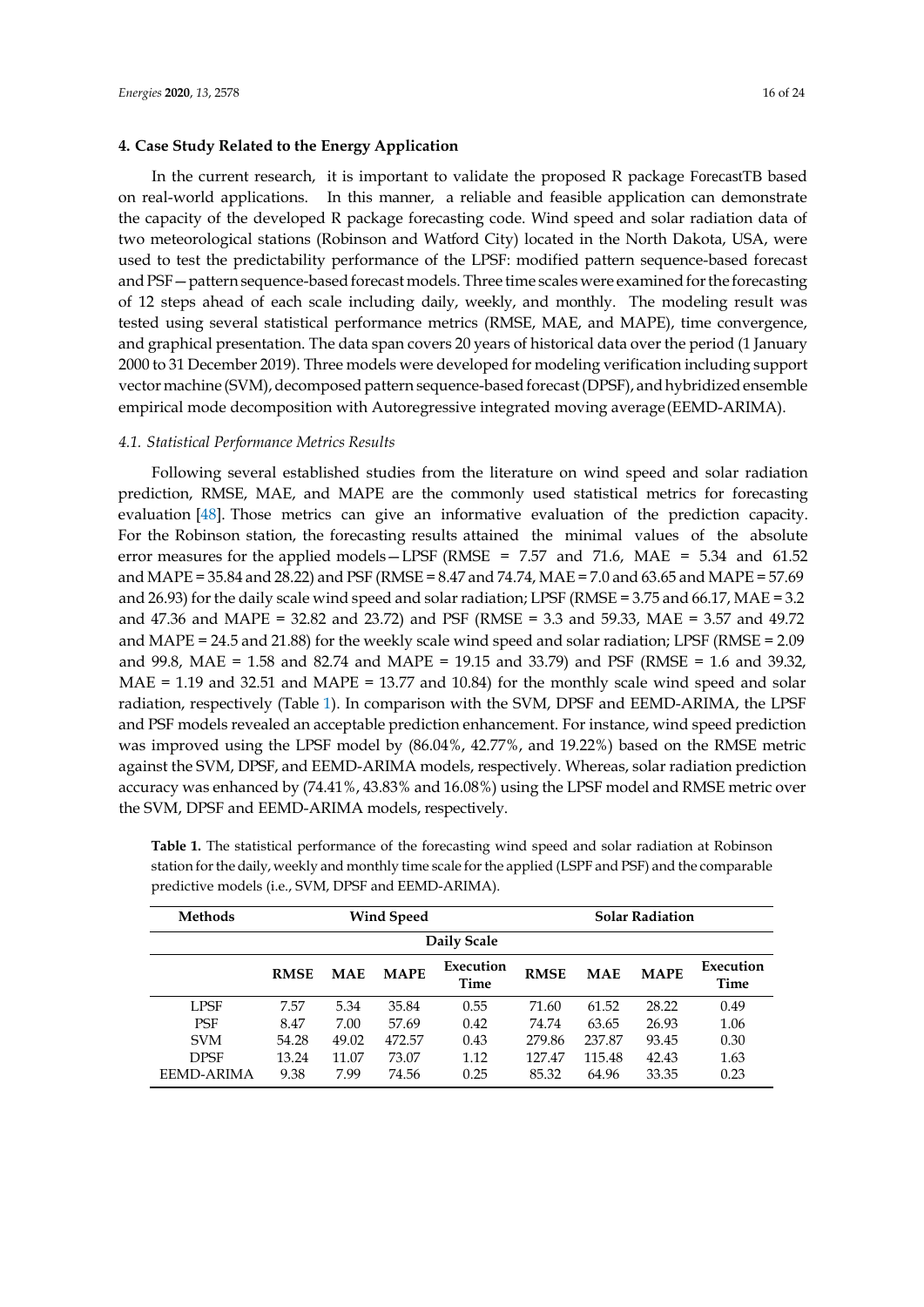#### **4. Case Study Related to the Energy Application**

In the current research, it is important to validate the proposed R package ForecastTB based on real-world applications. In this manner, a reliable and feasible application can demonstrate the capacity of the developed R package forecasting code. Wind speed and solar radiation data of two meteorological stations (Robinson and Watford City) located in the North Dakota, USA, were used to test the predictability performance of the LPSF: modified pattern sequence-based forecast and PSF — pattern sequence-based forecast models. Three time scales were examined for the forecasting of 12 steps ahead of each scale including daily, weekly, and monthly. The modeling result was tested using several statistical performance metrics (RMSE, MAE, and MAPE), time convergence, and graphical presentation. The data span covers 20 years of historical data over the period (1 January 2000 to 31 December 2019). Three models were developed for modeling verification including support vector machine (SVM), decomposed pattern sequence-based forecast (DPSF), and hybridized ensemble empirical mode decomposition with Autoregressive integrated moving average(EEMD-ARIMA).

#### *4.1. Statistical Performance Metrics Results*

Following several established studies from the literature on wind speed and solar radiation prediction, RMSE, MAE, and MAPE are the commonly used statistical metrics for forecasting evaluation [\[48\]](#page-23-12). Those metrics can give an informative evaluation of the prediction capacity. For the Robinson station, the forecasting results attained the minimal values of the absolute error measures for the applied models - LPSF (RMSE =  $7.57$  and  $71.6$ , MAE =  $5.34$  and  $61.52$ ) and MAPE = 35.84 and 28.22) and PSF (RMSE = 8.47 and 74.74, MAE = 7.0 and 63.65 and MAPE = 57.69 and 26.93) for the daily scale wind speed and solar radiation; LPSF (RMSE = 3.75 and 66.17, MAE = 3.2) and 47.36 and MAPE = 32.82 and 23.72) and PSF (RMSE = 3.3 and 59.33, MAE = 3.57 and 49.72 and MAPE = 24.5 and 21.88) for the weekly scale wind speed and solar radiation; LPSF (RMSE = 2.09 and 99.8, MAE = 1.58 and 82.74 and MAPE = 19.15 and 33.79) and PSF (RMSE = 1.6 and 39.32,  $MAE = 1.19$  and 32.51 and  $MAPE = 13.77$  and 10.84) for the monthly scale wind speed and solar radiation, respectively (Table [1\)](#page-16-0). In comparison with the SVM, DPSF and EEMD-ARIMA, the LPSF and PSF models revealed an acceptable prediction enhancement. For instance, wind speed prediction was improved using the LPSF model by (86.04%, 42.77%, and 19.22%) based on the RMSE metric against the SVM, DPSF, and EEMD-ARIMA models, respectively. Whereas, solar radiation prediction accuracy was enhanced by (74.41%, 43.83% and 16.08%) using the LPSF model and RMSE metric over the SVM, DPSF and EEMD-ARIMA models, respectively.

| <b>Methods</b> | <b>Wind Speed</b> |            |             |                   |             |            | <b>Solar Radiation</b> |                   |
|----------------|-------------------|------------|-------------|-------------------|-------------|------------|------------------------|-------------------|
|                | Daily Scale       |            |             |                   |             |            |                        |                   |
|                | <b>RMSE</b>       | <b>MAE</b> | <b>MAPE</b> | Execution<br>Time | <b>RMSE</b> | <b>MAE</b> | <b>MAPE</b>            | Execution<br>Time |
| <b>LPSF</b>    | 7.57              | 5.34       | 35.84       | 0.55              | 71.60       | 61.52      | 28.22                  | 0.49              |
| <b>PSF</b>     | 8.47              | 7.00       | 57.69       | 0.42              | 74.74       | 63.65      | 26.93                  | 1.06              |
| <b>SVM</b>     | 54.28             | 49.02      | 472.57      | 0.43              | 279.86      | 237.87     | 93.45                  | 0.30              |
| <b>DPSF</b>    | 13.24             | 11.07      | 73.07       | 1.12              | 127.47      | 115.48     | 42.43                  | 1.63              |
| EEMD-ARIMA     | 9.38              | 7.99       | 74.56       | 0.25              | 85.32       | 64.96      | 33.35                  | 0.23              |

**Table 1.** The statistical performance of the forecasting wind speed and solar radiation at Robinson station for the daily, weekly and monthly time scale for the applied (LSPF and PSF) and the comparable predictive models (i.e., SVM, DPSF and EEMD-ARIMA).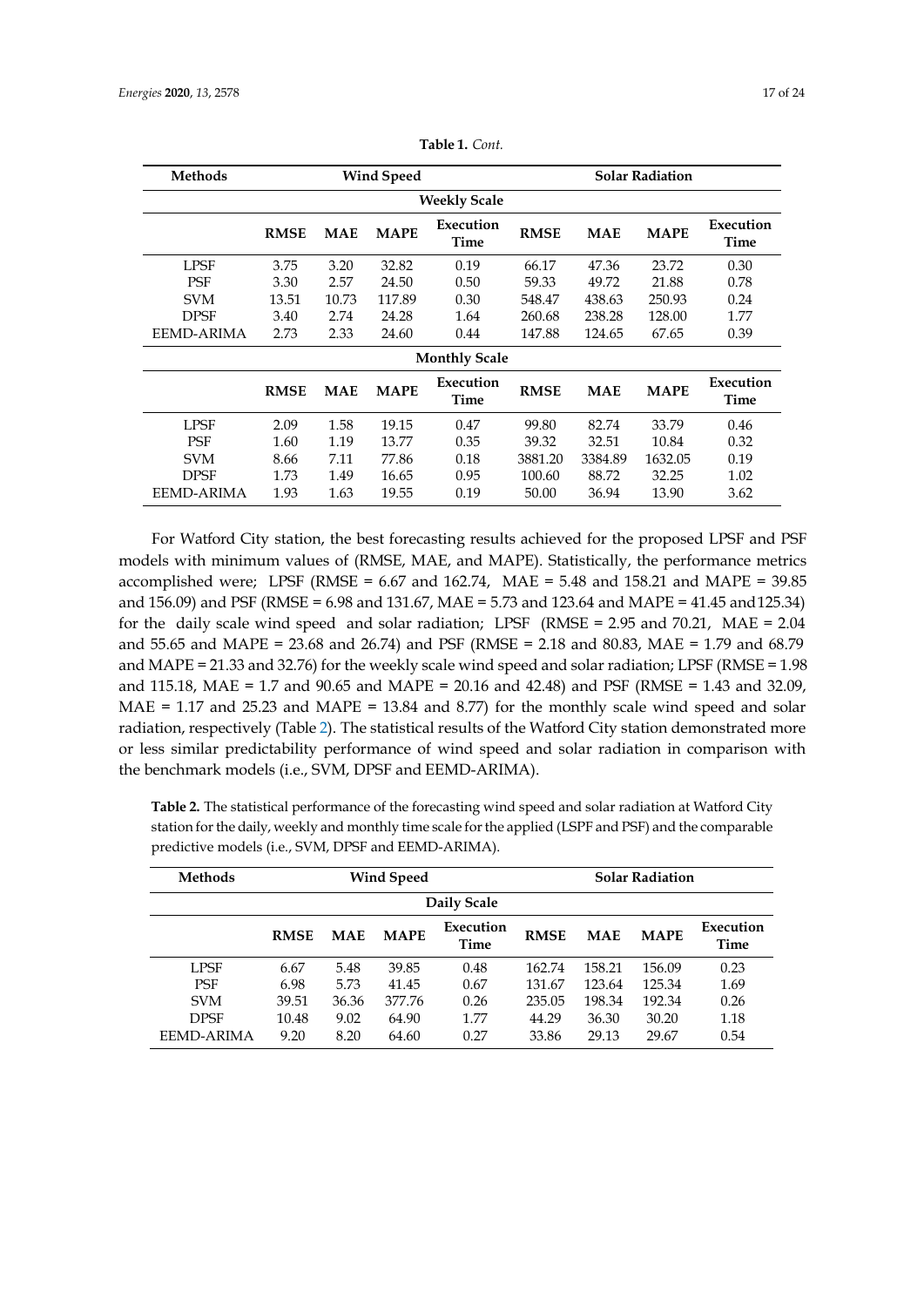| <b>Methods</b>    | <b>Wind Speed</b>   |            |             |                      |             | <b>Solar Radiation</b> |             |                   |
|-------------------|---------------------|------------|-------------|----------------------|-------------|------------------------|-------------|-------------------|
|                   | <b>Weekly Scale</b> |            |             |                      |             |                        |             |                   |
|                   | <b>RMSE</b>         | <b>MAE</b> | <b>MAPE</b> | Execution<br>Time    | <b>RMSE</b> | <b>MAE</b>             | <b>MAPE</b> | Execution<br>Time |
| LPSF              | 3.75                | 3.20       | 32.82       | 0.19                 | 66.17       | 47.36                  | 23.72       | 0.30              |
| <b>PSF</b>        | 3.30                | 2.57       | 24.50       | 0.50                 | 59.33       | 49.72                  | 21.88       | 0.78              |
| <b>SVM</b>        | 13.51               | 10.73      | 117.89      | 0.30                 | 548.47      | 438.63                 | 250.93      | 0.24              |
| <b>DPSF</b>       | 3.40                | 2.74       | 24.28       | 1.64                 | 260.68      | 238.28                 | 128.00      | 1.77              |
| <b>EEMD-ARIMA</b> | 2.73                | 2.33       | 24.60       | 0.44                 | 147.88      | 124.65                 | 67.65       | 0.39              |
|                   |                     |            |             | <b>Monthly Scale</b> |             |                        |             |                   |
|                   | <b>RMSE</b>         | <b>MAE</b> | <b>MAPE</b> | Execution<br>Time    | <b>RMSE</b> | <b>MAE</b>             | <b>MAPE</b> | Execution<br>Time |
| LPSF              | 2.09                | 1.58       | 19.15       | 0.47                 | 99.80       | 82.74                  | 33.79       | 0.46              |
| <b>PSF</b>        | 1.60                | 1.19       | 13.77       | 0.35                 | 39.32       | 32.51                  | 10.84       | 0.32              |
| <b>SVM</b>        | 8.66                | 7.11       | 77.86       | 0.18                 | 3881.20     | 3384.89                | 1632.05     | 0.19              |
| <b>DPSF</b>       | 1.73                | 1.49       | 16.65       | 0.95                 | 100.60      | 88.72                  | 32.25       | 1.02              |
| <b>EEMD-ARIMA</b> | 1.93                | 1.63       | 19.55       | 0.19                 | 50.00       | 36.94                  | 13.90       | 3.62              |

<span id="page-16-0"></span>**Table 1.** *Cont.*

For Watford City station, the best forecasting results achieved for the proposed LPSF and PSF models with minimum values of (RMSE, MAE, and MAPE). Statistically, the performance metrics accomplished were; LPSF (RMSE = 6.67 and 162.74, MAE = 5.48 and 158.21 and MAPE = 39.85 and 156.09) and PSF (RMSE = 6.98 and 131.67, MAE = 5.73 and 123.64 and MAPE = 41.45 and125.34) for the daily scale wind speed and solar radiation; LPSF (RMSE = 2.95 and 70.21, MAE = 2.04 and 55.65 and MAPE = 23.68 and 26.74) and PSF (RMSE = 2.18 and 80.83, MAE = 1.79 and 68.79 and MAPE = 21.33 and 32.76) for the weekly scale wind speed and solar radiation; LPSF (RMSE = 1.98 and 115.18, MAE = 1.7 and 90.65 and MAPE = 20.16 and 42.48) and PSF (RMSE = 1.43 and 32.09,  $MAE = 1.17$  and  $25.23$  and  $MAPE = 13.84$  and  $8.77$ ) for the monthly scale wind speed and solar radiation, respectively (Table [2\)](#page-17-0). The statistical results of the Watford City station demonstrated more or less similar predictability performance of wind speed and solar radiation in comparison with the benchmark models (i.e., SVM, DPSF and EEMD-ARIMA).

| <b>Table 2.</b> The statistical performance of the forecasting wind speed and solar radiation at Watford City |
|---------------------------------------------------------------------------------------------------------------|
| station for the daily, weekly and monthly time scale for the applied (LSPF and PSF) and the comparable        |
| predictive models (i.e., SVM, DPSF and EEMD-ARIMA).                                                           |

| <b>Methods</b>    | Wind Speed  |            |             |                   |             |            | <b>Solar Radiation</b> |                   |
|-------------------|-------------|------------|-------------|-------------------|-------------|------------|------------------------|-------------------|
|                   |             |            |             | Daily Scale       |             |            |                        |                   |
|                   | <b>RMSE</b> | <b>MAE</b> | <b>MAPE</b> | Execution<br>Time | <b>RMSE</b> | <b>MAE</b> | <b>MAPE</b>            | Execution<br>Time |
| <b>LPSF</b>       | 6.67        | 5.48       | 39.85       | 0.48              | 162.74      | 158.21     | 156.09                 | 0.23              |
| <b>PSF</b>        | 6.98        | 5.73       | 41.45       | 0.67              | 131.67      | 123.64     | 125.34                 | 1.69              |
| <b>SVM</b>        | 39.51       | 36.36      | 377.76      | 0.26              | 235.05      | 198.34     | 192.34                 | 0.26              |
| <b>DPSF</b>       | 10.48       | 9.02       | 64.90       | 1.77              | 44.29       | 36.30      | 30.20                  | 1.18              |
| <b>EEMD-ARIMA</b> | 9.20        | 8.20       | 64.60       | 0.27              | 33.86       | 29.13      | 29.67                  | 0.54              |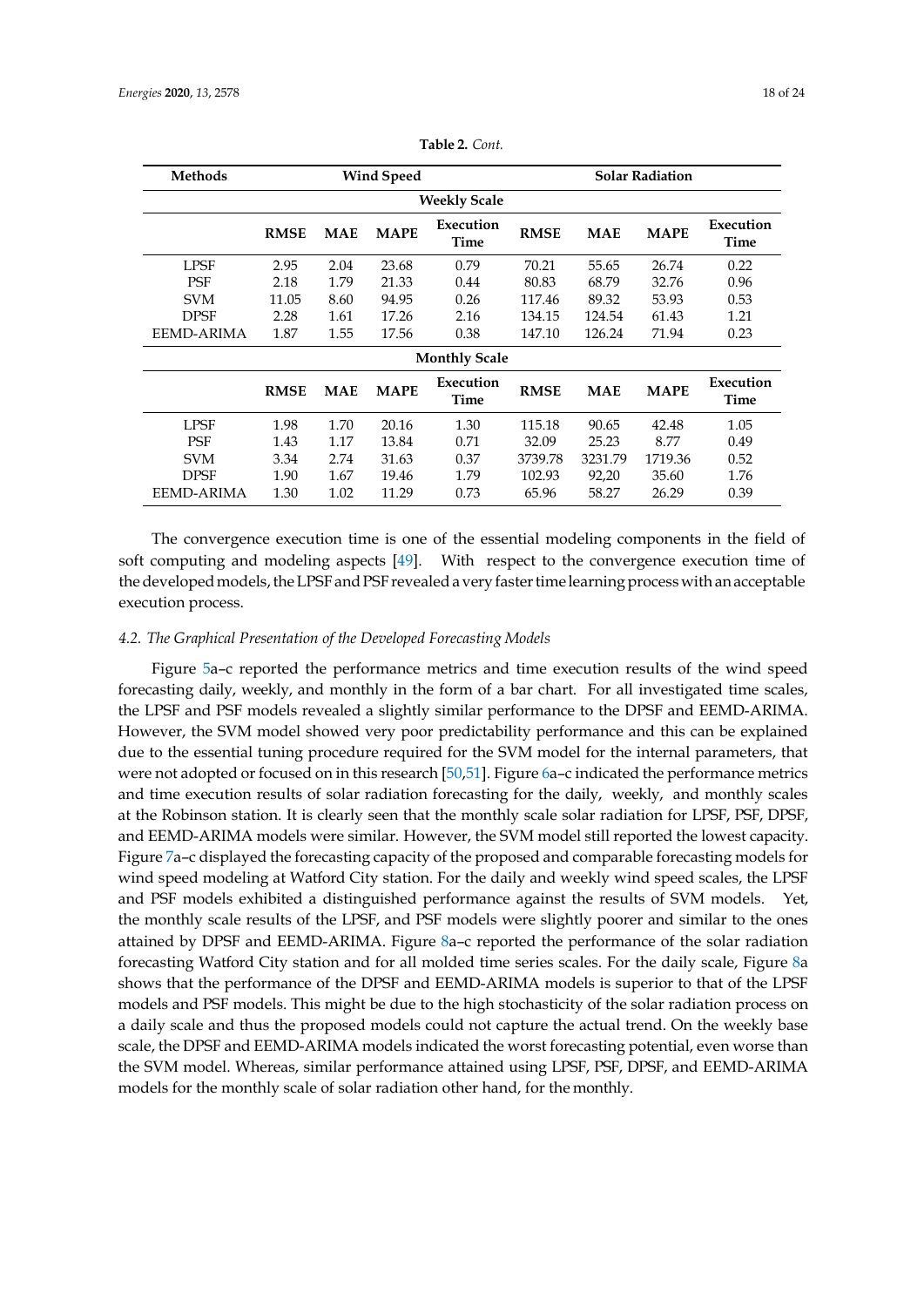| <b>Methods</b>    |                     |            | <b>Wind Speed</b> |                      |             |            | Solar Radiation |                          |
|-------------------|---------------------|------------|-------------------|----------------------|-------------|------------|-----------------|--------------------------|
|                   | <b>Weekly Scale</b> |            |                   |                      |             |            |                 |                          |
|                   | <b>RMSE</b>         | <b>MAE</b> | <b>MAPE</b>       | Execution<br>Time    | <b>RMSE</b> | <b>MAE</b> | <b>MAPE</b>     | Execution<br>Time        |
| LPSF              | 2.95                | 2.04       | 23.68             | 0.79                 | 70.21       | 55.65      | 26.74           | 0.22                     |
| <b>PSF</b>        | 2.18                | 1.79       | 21.33             | 0.44                 | 80.83       | 68.79      | 32.76           | 0.96                     |
| <b>SVM</b>        | 11.05               | 8.60       | 94.95             | 0.26                 | 117.46      | 89.32      | 53.93           | 0.53                     |
| <b>DPSF</b>       | 2.28                | 1.61       | 17.26             | 2.16                 | 134.15      | 124.54     | 61.43           | 1.21                     |
| <b>EEMD-ARIMA</b> | 1.87                | 1.55       | 17.56             | 0.38                 | 147.10      | 126.24     | 71.94           | 0.23                     |
|                   |                     |            |                   | <b>Monthly Scale</b> |             |            |                 |                          |
|                   | <b>RMSE</b>         | <b>MAE</b> | <b>MAPE</b>       | Execution<br>Time    | <b>RMSE</b> | <b>MAE</b> | <b>MAPE</b>     | Execution<br><b>Time</b> |
| LPSF              | 1.98                | 1.70       | 20.16             | 1.30                 | 115.18      | 90.65      | 42.48           | 1.05                     |
| <b>PSF</b>        | 1.43                | 1.17       | 13.84             | 0.71                 | 32.09       | 25.23      | 8.77            | 0.49                     |
| <b>SVM</b>        | 3.34                | 2.74       | 31.63             | 0.37                 | 3739.78     | 3231.79    | 1719.36         | 0.52                     |
| DPSF              | 1.90                | 1.67       | 19.46             | 1.79                 | 102.93      | 92,20      | 35.60           | 1.76                     |
| EEMD-ARIMA        | 1.30                | 1.02       | 11.29             | 0.73                 | 65.96       | 58.27      | 26.29           | 0.39                     |

<span id="page-17-0"></span>**Table 2.** *Cont.*

The convergence execution time is one of the essential modeling components in the field of soft computing and modeling aspects [\[49\]](#page-23-13). With respect to the convergence execution time of the developed models, the LPSF and PSF revealed a very faster time learning process with an acceptable execution process.

#### *4.2. The Graphical Presentation of the Developed Forecasting Models*

Figure [5a](#page-18-0)–c reported the performance metrics and time execution results of the wind speed forecasting daily, weekly, and monthly in the form of a bar chart. For all investigated time scales, the LPSF and PSF models revealed a slightly similar performance to the DPSF and EEMD-ARIMA. However, the SVM model showed very poor predictability performance and this can be explained due to the essential tuning procedure required for the SVM model for the internal parameters, that were not adopted or focused on in this research [\[50](#page-23-14)[,51\]](#page-23-15). Figure [6a](#page-19-0)–c indicated the performance metrics and time execution results of solar radiation forecasting for the daily, weekly, and monthly scales at the Robinson station. It is clearly seen that the monthly scale solar radiation for LPSF, PSF, DPSF, and EEMD-ARIMA models were similar. However, the SVM model still reported the lowest capacity. Figure [7a](#page-19-1)–c displayed the forecasting capacity of the proposed and comparable forecasting models for wind speed modeling at Watford City station. For the daily and weekly wind speed scales, the LPSF and PSF models exhibited a distinguished performance against the results of SVM models. Yet, the monthly scale results of the LPSF, and PSF models were slightly poorer and similar to the ones attained by DPSF and EEMD-ARIMA. Figure [8a](#page-20-0)–c reported the performance of the solar radiation forecasting Watford City station and for all molded time series scales. For the daily scale, Figure [8a](#page-20-0) shows that the performance of the DPSF and EEMD-ARIMA models is superior to that of the LPSF models and PSF models. This might be due to the high stochasticity of the solar radiation process on a daily scale and thus the proposed models could not capture the actual trend. On the weekly base scale, the DPSF and EEMD-ARIMA models indicated the worst forecasting potential, even worse than the SVM model. Whereas, similar performance attained using LPSF, PSF, DPSF, and EEMD-ARIMA models for the monthly scale of solar radiation other hand, for the monthly.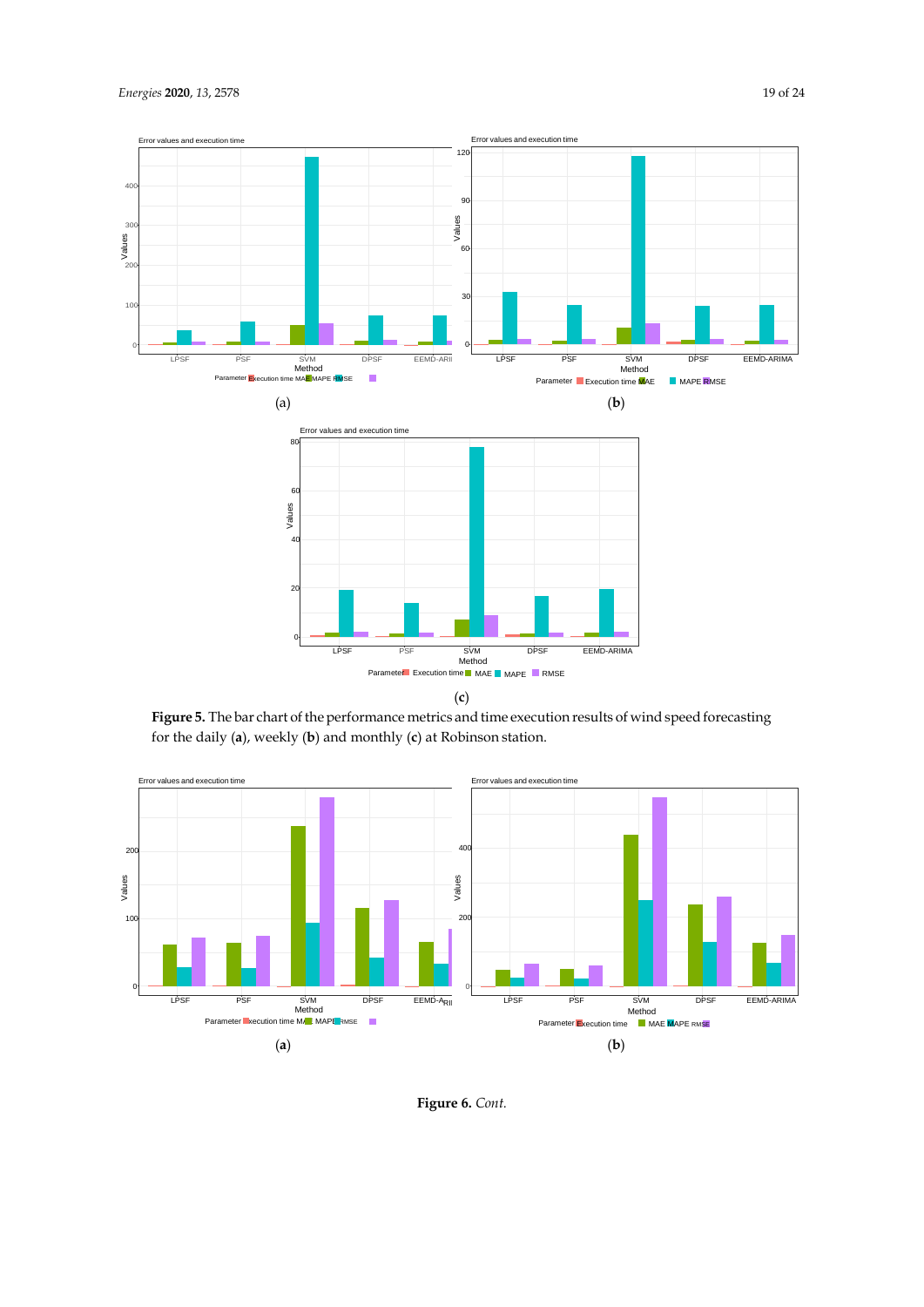<span id="page-18-0"></span>

**Figure 5.** The bar chart of the performance metrics and time execution results of wind speed forecasting for the daily (**a**), weekly (**b**) and monthly (**c**) at Robinson station.



**Figure 6.** *Cont.*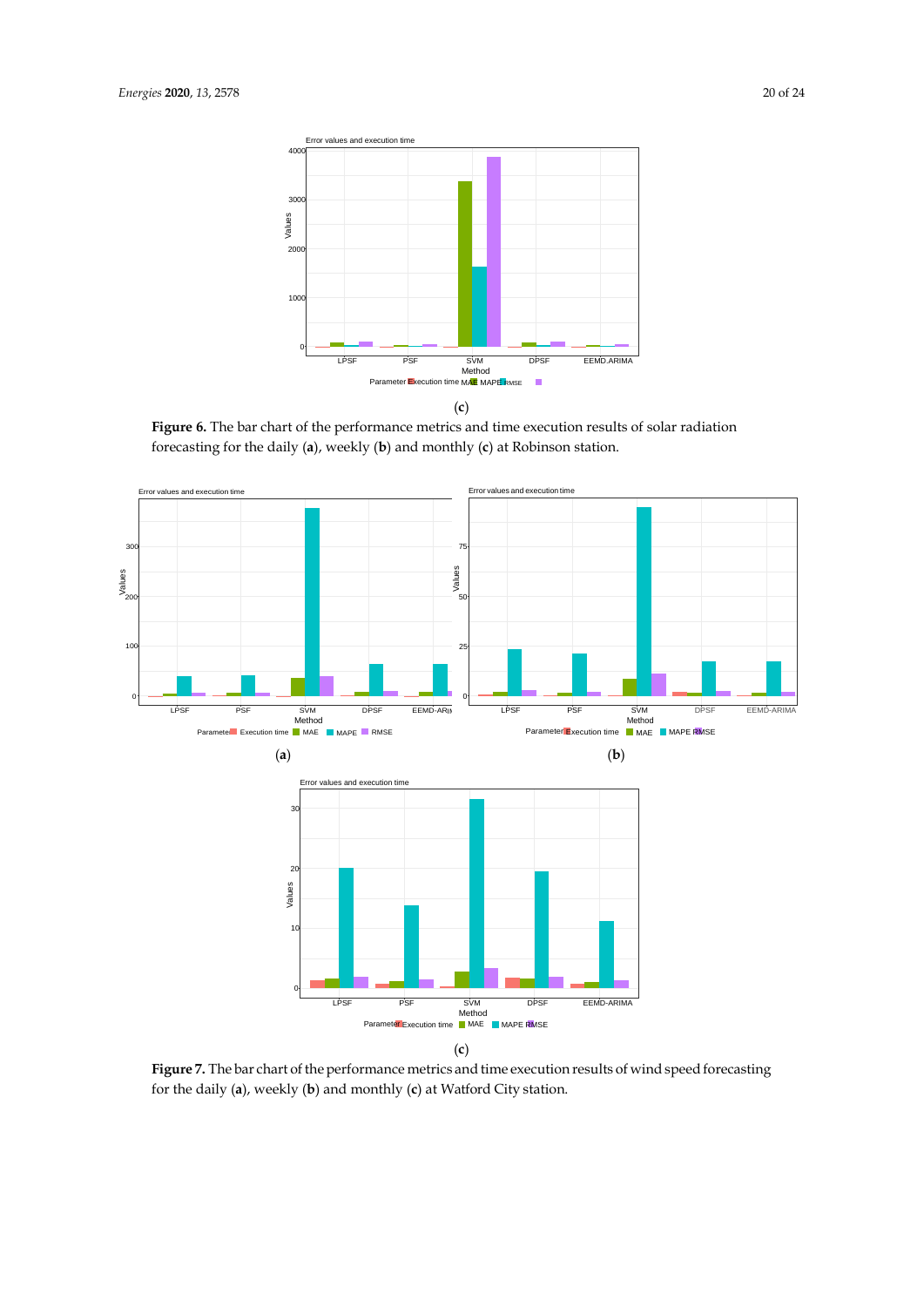<span id="page-19-0"></span>



Figure 6. The bar chart of the performance metrics and time execution results of solar radiation forecasting for the daily (**a**), weekly (**b**) and monthly (**c**) at Robinson station.

<span id="page-19-1"></span>

(**c**)

**Figure 7.** The bar chart of the performance metrics and time execution results of wind speed forecasting for the daily (**a**), weekly (**b**) and monthly (**c**) at Watford City station.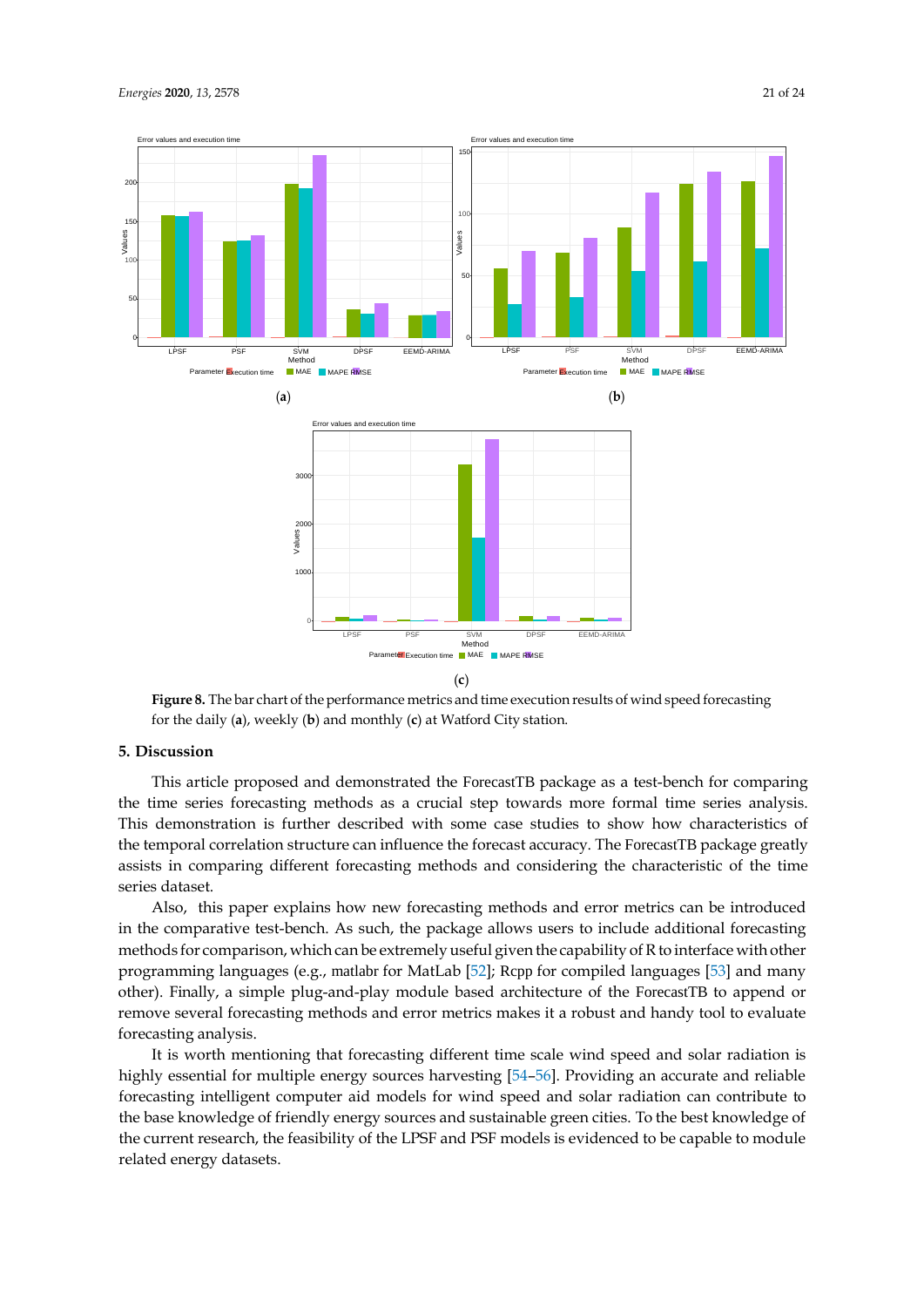<span id="page-20-0"></span>

**Figure 8.** The bar chart of the performance metrics and time execution results of wind speed forecasting for the daily (**a**), weekly (**b**) and monthly (**c**) at Watford City station.

#### **5. Discussion**

This article proposed and demonstrated the ForecastTB package as a test-bench for comparing the time series forecasting methods as a crucial step towards more formal time series analysis. This demonstration is further described with some case studies to show how characteristics of the temporal correlation structure can influence the forecast accuracy. The ForecastTB package greatly assists in comparing different forecasting methods and considering the characteristic of the time series dataset.

Also, this paper explains how new forecasting methods and error metrics can be introduced in the comparative test-bench. As such, the package allows users to include additional forecasting methods for comparison, which can be extremely useful given the capability of R to interface with other programming languages (e.g., matlabr for MatLab [\[52\]](#page-23-16); Rcpp for compiled languages [\[53\]](#page-23-17) and many other). Finally, a simple plug-and-play module based architecture of the ForecastTB to append or remove several forecasting methods and error metrics makes it a robust and handy tool to evaluate forecasting analysis.

It is worth mentioning that forecasting different time scale wind speed and solar radiation is highly essential for multiple energy sources harvesting [\[54](#page-23-18)[–56\]](#page-23-19). Providing an accurate and reliable forecasting intelligent computer aid models for wind speed and solar radiation can contribute to the base knowledge of friendly energy sources and sustainable green cities. To the best knowledge of the current research, the feasibility of the LPSF and PSF models is evidenced to be capable to module related energy datasets.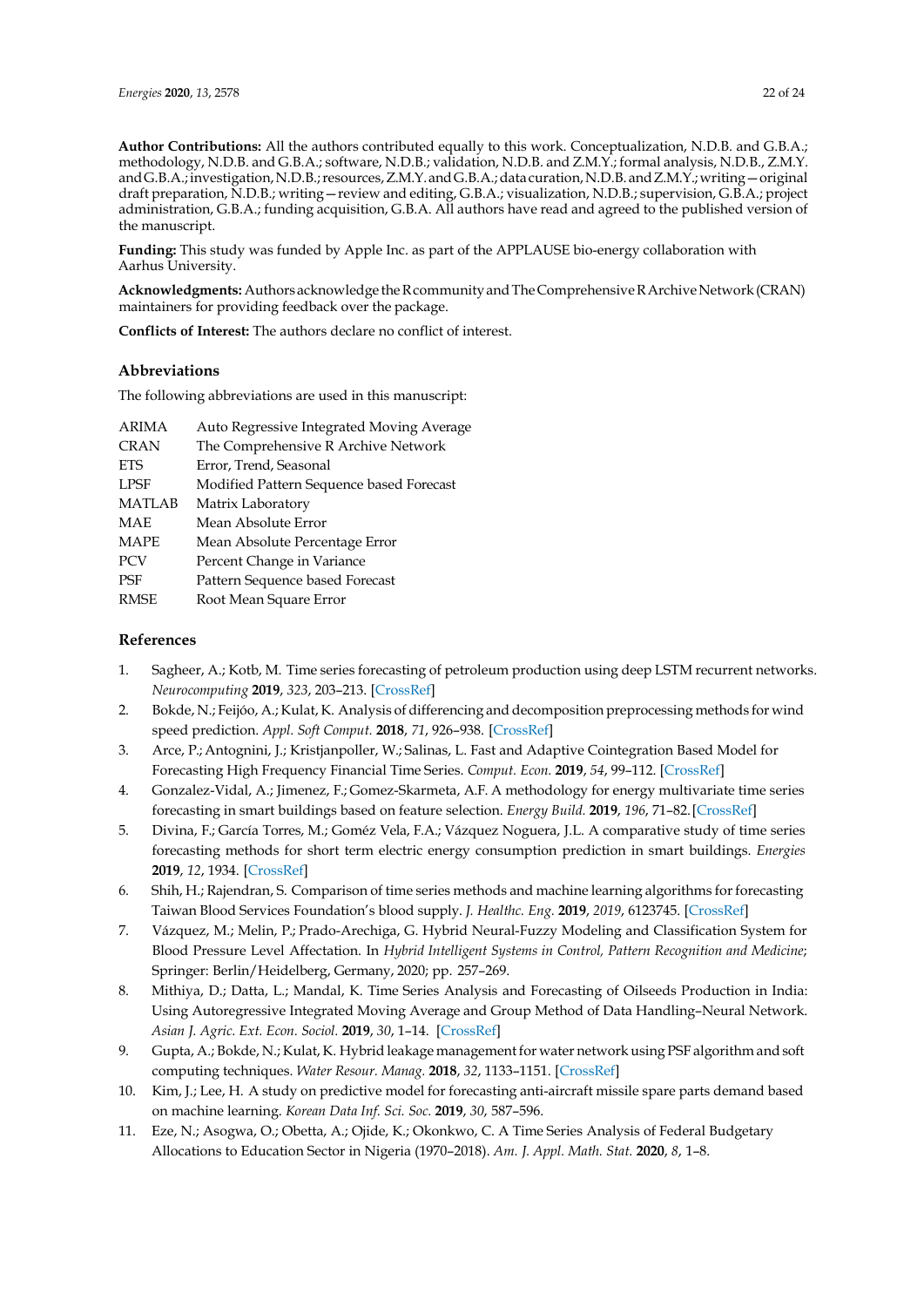**Author Contributions:** All the authors contributed equally to this work. Conceptualization, N.D.B. and G.B.A.; methodology, N.D.B. and G.B.A.; software, N.D.B.; validation, N.D.B. and Z.M.Y.; formal analysis, N.D.B., Z.M.Y. and G.B.A.; investigation, N.D.B.; resources, Z.M.Y. and G.B.A.; data curation, N.D.B. and Z.M.Y.; writing – original draft preparation, N.D.B.; writing—review and editing, G.B.A.; visualization, N.D.B.; supervision, G.B.A.; project administration, G.B.A.; funding acquisition, G.B.A. All authors have read and agreed to the published version of the manuscript.

**Funding:** This study was funded by Apple Inc. as part of the APPLAUSE bio-energy collaboration with Aarhus University.

Acknowledgments: Authors acknowledge the Rcommunity and The Comprehensive R Archive Network (CRAN) maintainers for providing feedback over the package.

**Conflicts of Interest:** The authors declare no conflict of interest.

## **Abbreviations**

The following abbreviations are used in this manuscript:

| <b>ARIMA</b>  | Auto Regressive Integrated Moving Average |
|---------------|-------------------------------------------|
| <b>CRAN</b>   | The Comprehensive R Archive Network       |
| <b>ETS</b>    | Error, Trend, Seasonal                    |
| <b>LPSF</b>   | Modified Pattern Sequence based Forecast  |
| <b>MATLAB</b> | Matrix Laboratory                         |
| MAE           | Mean Absolute Error                       |
| <b>MAPE</b>   | Mean Absolute Percentage Error            |
| <b>PCV</b>    | Percent Change in Variance                |
| PSF           | Pattern Sequence based Forecast           |
| <b>RMSE</b>   | Root Mean Square Error                    |
|               |                                           |

# **References**

- <span id="page-21-2"></span><span id="page-21-1"></span><span id="page-21-0"></span>1. Sagheer, A.; Kotb, M. Time series forecasting of petroleum production using deep LSTM recurrent networks. *Neurocomputing* **2019**, *323*, 203–213. [\[CrossRef\]](http://dx.doi.org/10.1016/j.neucom.2018.09.082)
- 2. Bokde, N.; Feijóo, A.; Kulat, K. Analysis of differencing and decomposition preprocessing methods for wind speed prediction. *Appl. Soft Comput.* **2018**, *71*, 926–938. [\[CrossRef\]](http://dx.doi.org/10.1016/j.asoc.2018.07.041)
- <span id="page-21-3"></span>3. Arce, P.; Antognini, J.; Kristjanpoller, W.; Salinas, L. Fast and Adaptive Cointegration Based Model for Forecasting High Frequency Financial Time Series. *Comput. Econ.* **2019**, *54*, 99–112. [\[CrossRef\]](http://dx.doi.org/10.1007/s10614-017-9691-7)
- <span id="page-21-4"></span>4. Gonzalez-Vidal, A.; Jimenez, F.; Gomez-Skarmeta, A.F. A methodology for energy multivariate time series forecasting in smart buildings based on feature selection. *Energy Build.* **2019**, *196*, 71–82.[\[CrossRef\]](http://dx.doi.org/10.1016/j.enbuild.2019.05.021)
- <span id="page-21-5"></span>5. Divina, F.; García Torres, M.; Goméz Vela, F.A.; Vázquez Noguera, J.L. A comparative study of time series forecasting methods for short term electric energy consumption prediction in smart buildings. *Energies*  **2019**, *12*, 1934. [\[CrossRef\]](http://dx.doi.org/10.3390/en12101934)
- <span id="page-21-6"></span>6. Shih, H.; Rajendran, S. Comparison of time series methods and machine learning algorithms for forecasting Taiwan Blood Services Foundation's blood supply. *J. Healthc. Eng.* **2019**, *2019*, 6123745. [\[CrossRef\]](http://dx.doi.org/10.1155/2019/6123745)
- <span id="page-21-7"></span>7. Vázquez, M.; Melin, P.; Prado-Arechiga, G. Hybrid Neural-Fuzzy Modeling and Classification System for Blood Pressure Level Affectation. In *Hybrid Intelligent Systems in Control, Pattern Recognition and Medicine*; Springer: Berlin/Heidelberg, Germany, 2020; pp. 257–269.
- <span id="page-21-8"></span>8. Mithiya, D.; Datta, L.; Mandal, K. Time Series Analysis and Forecasting of Oilseeds Production in India: Using Autoregressive Integrated Moving Average and Group Method of Data Handling–Neural Network. *Asian J. Agric. Ext. Econ. Sociol.* **2019**, *30*, 1–14. [\[CrossRef\]](http://dx.doi.org/10.9734/ajaees/2019/v30i230106)
- <span id="page-21-9"></span>9. Gupta, A.; Bokde, N.; Kulat, K. Hybrid leakage management for water network using PSF algorithm and soft computing techniques. *Water Resour. Manag.* **2018**, *32*, 1133–1151. [\[CrossRef\]](http://dx.doi.org/10.1007/s11269-017-1859-3)
- <span id="page-21-10"></span>10. Kim, J.; Lee, H. A study on predictive model for forecasting anti-aircraft missile spare parts demand based on machine learning. *Korean Data Inf. Sci. Soc.* **2019**, *30*, 587–596.
- 11. Eze, N.; Asogwa, O.; Obetta, A.; Ojide, K.; Okonkwo, C. A Time Series Analysis of Federal Budgetary Allocations to Education Sector in Nigeria (1970–2018). *Am. J. Appl. Math. Stat.* **2020**, *8*, 1–8.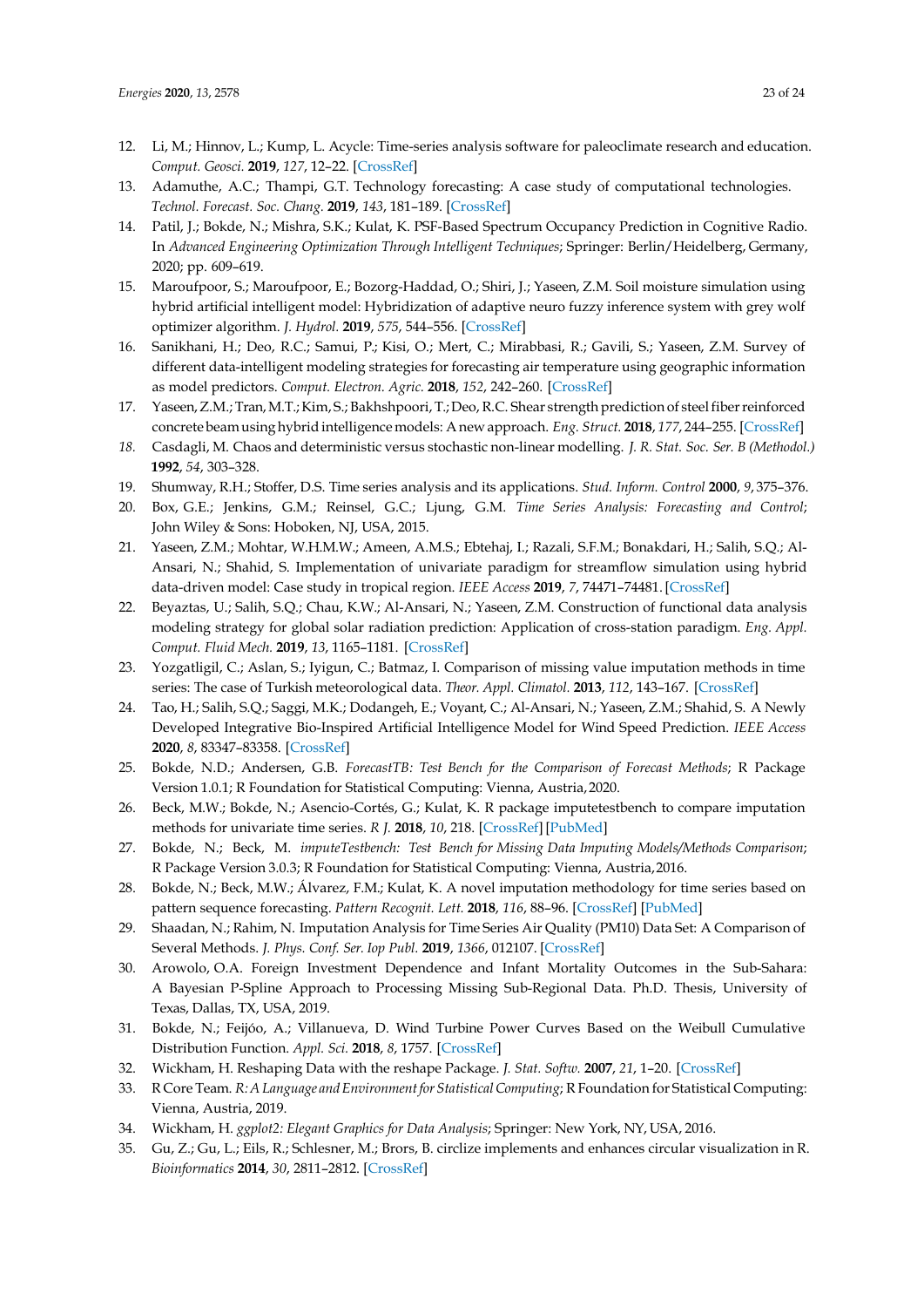- <span id="page-22-1"></span><span id="page-22-0"></span>12. Li, M.; Hinnov, L.; Kump, L. Acycle: Time-series analysis software for paleoclimate research and education. *Comput. Geosci.* **2019**, *127*, 12–22. [\[CrossRef\]](http://dx.doi.org/10.1016/j.cageo.2019.02.011)
- <span id="page-22-2"></span>13. Adamuthe, A.C.; Thampi, G.T. Technology forecasting: A case study of computational technologies. *Technol. Forecast. Soc. Chang.* **2019**, *143*, 181–189. [\[CrossRef\]](http://dx.doi.org/10.1016/j.techfore.2019.03.002)
- <span id="page-22-3"></span>14. Patil, J.; Bokde, N.; Mishra, S.K.; Kulat, K. PSF-Based Spectrum Occupancy Prediction in Cognitive Radio. In *Advanced Engineering Optimization Through Intelligent Techniques*; Springer: Berlin/Heidelberg, Germany, 2020; pp. 609–619.
- <span id="page-22-4"></span>15. Maroufpoor, S.; Maroufpoor, E.; Bozorg-Haddad, O.; Shiri, J.; Yaseen, Z.M. Soil moisture simulation using hybrid artificial intelligent model: Hybridization of adaptive neuro fuzzy inference system with grey wolf optimizer algorithm. *J. Hydrol.* **2019**, *575*, 544–556. [\[CrossRef\]](http://dx.doi.org/10.1016/j.jhydrol.2019.05.045)
- <span id="page-22-5"></span>16. Sanikhani, H.; Deo, R.C.; Samui, P.; Kisi, O.; Mert, C.; Mirabbasi, R.; Gavili, S.; Yaseen, Z.M. Survey of different data-intelligent modeling strategies for forecasting air temperature using geographic information as model predictors. *Comput. Electron. Agric.* **2018**, *152*, 242–260. [\[CrossRef\]](http://dx.doi.org/10.1016/j.compag.2018.07.008)
- <span id="page-22-6"></span>17. Yaseen,Z.M.; Tran,M.T.;Kim, S.; Bakhshpoori, T.;Deo,R.C. Shear strength prediction of steelfiberreinforced concrete beamusinghybridintelligencemodels: Anewapproach. *Eng. Struct.* **2018**, *177*, 244–255. [\[CrossRef\]](http://dx.doi.org/10.1016/j.engstruct.2018.09.074)
- <span id="page-22-7"></span>*18.* Casdagli, M. Chaos and deterministic versus stochastic non-linear modelling. *J. R. Stat. Soc. Ser. B (Methodol.)* **1992**, *54*, 303–328.
- <span id="page-22-9"></span><span id="page-22-8"></span>19. Shumway, R.H.; Stoffer, D.S. Time series analysis and its applications. *Stud. Inform. Control* **2000**, *9*, 375–376.
- 20. Box, G.E.; Jenkins, G.M.; Reinsel, G.C.; Ljung, G.M. *Time Series Analysis: Forecasting and Control*; John Wiley & Sons: Hoboken, NJ, USA, 2015.
- <span id="page-22-10"></span>21. Yaseen, Z.M.; Mohtar, W.H.M.W.; Ameen, A.M.S.; Ebtehaj, I.; Razali, S.F.M.; Bonakdari, H.; Salih, S.Q.; Al-Ansari, N.; Shahid, S. Implementation of univariate paradigm for streamflow simulation using hybrid data-driven model: Case study in tropical region. *IEEE Access* **2019**, *7*, 74471–74481.[\[CrossRef\]](http://dx.doi.org/10.1109/ACCESS.2019.2920916)
- <span id="page-22-11"></span>22. Beyaztas, U.; Salih, S.Q.; Chau, K.W.; Al-Ansari, N.; Yaseen, Z.M. Construction of functional data analysis modeling strategy for global solar radiation prediction: Application of cross-station paradigm. *Eng. Appl. Comput. Fluid Mech.* **2019**, *13*, 1165–1181. [\[CrossRef\]](http://dx.doi.org/10.1080/19942060.2019.1676314)
- <span id="page-22-12"></span>23. Yozgatligil, C.; Aslan, S.; Iyigun, C.; Batmaz, I. Comparison of missing value imputation methods in time series: The case of Turkish meteorological data. *Theor. Appl. Climatol.* **2013**, *112*, 143–167. [\[CrossRef\]](http://dx.doi.org/10.1007/s00704-012-0723-x)
- <span id="page-22-13"></span>24. Tao, H.; Salih, S.Q.; Saggi, M.K.; Dodangeh, E.; Voyant, C.; Al-Ansari, N.; Yaseen, Z.M.; Shahid, S. A Newly Developed Integrative Bio-Inspired Artificial Intelligence Model for Wind Speed Prediction. *IEEE Access*  **2020**, *8*, 83347–83358. [\[CrossRef\]](http://dx.doi.org/10.1109/ACCESS.2020.2990439)
- <span id="page-22-14"></span>25. Bokde, N.D.; Andersen, G.B. *ForecastTB: Test Bench for the Comparison of Forecast Methods*; R Package Version 1.0.1; R Foundation for Statistical Computing: Vienna, Austria,2020.
- <span id="page-22-15"></span>26. Beck, M.W.; Bokde, N.; Asencio-Cortés, G.; Kulat, K. R package imputetestbench to compare imputation methods for univariate time series. *R J.* **2018**, *10*, 218. [\[CrossRef\]](http://dx.doi.org/10.32614/RJ-2018-024)[\[PubMed\]](http://www.ncbi.nlm.nih.gov/pubmed/30607263)
- <span id="page-22-16"></span>27. Bokde, N.; Beck, M. *imputeTestbench: Test Bench for Missing Data Imputing Models/Methods Comparison*; R Package Version 3.0.3; R Foundation for Statistical Computing: Vienna, Austria,2016.
- 28. Bokde, N.; Beck, M.W.; Álvarez, F.M.; Kulat, K. A novel imputation methodology for time series based on pattern sequence forecasting. *Pattern Recognit. Lett.* **2018**, *116*, 88–96. [\[CrossRef\]](http://dx.doi.org/10.1016/j.patrec.2018.09.020) [\[PubMed\]](http://www.ncbi.nlm.nih.gov/pubmed/30416234)
- 29. Shaadan, N.; Rahim, N. Imputation Analysis for Time Series Air Quality (PM10) Data Set: A Comparison of Several Methods. *J. Phys. Conf. Ser. Iop Publ.* **2019**, *1366*, 012107. [\[CrossRef\]](http://dx.doi.org/10.1088/1742-6596/1366/1/012107)
- <span id="page-22-17"></span>30. Arowolo, O.A. Foreign Investment Dependence and Infant Mortality Outcomes in the Sub-Sahara: A Bayesian P-Spline Approach to Processing Missing Sub-Regional Data. Ph.D. Thesis, University of Texas, Dallas, TX, USA, 2019.
- <span id="page-22-18"></span>31. Bokde, N.; Feijóo, A.; Villanueva, D. Wind Turbine Power Curves Based on the Weibull Cumulative Distribution Function. *Appl. Sci.* **2018**, *8*, 1757. [\[CrossRef\]](http://dx.doi.org/10.3390/app8101757)
- <span id="page-22-19"></span>32. Wickham, H. Reshaping Data with the reshape Package. *J. Stat. Softw.* **2007**, *21*, 1–20. [\[CrossRef\]](http://dx.doi.org/10.18637/jss.v021.i12)
- <span id="page-22-20"></span>33. R Core Team. *R:A Language andEnvironmentforStatisticalComputing*; R Foundation for Statistical Computing: Vienna, Austria, 2019.
- <span id="page-22-21"></span>34. Wickham, H. *ggplot2: Elegant Graphics for Data Analysis*; Springer: New York, NY, USA, 2016.
- 35. Gu, Z.; Gu, L.; Eils, R.; Schlesner, M.; Brors, B. circlize implements and enhances circular visualization in R. *Bioinformatics* **2014**, *30*, 2811–2812. [\[CrossRef\]](http://dx.doi.org/10.1093/bioinformatics/btu393)